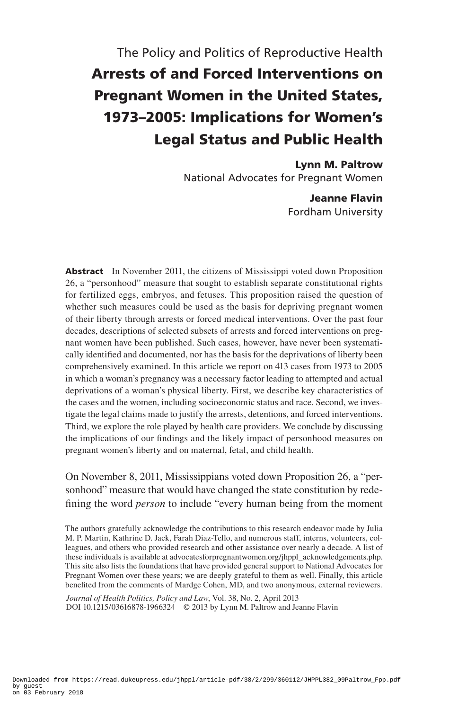# The Policy and Politics of Reproductive Health Arrests of and Forced Interventions on Pregnant Women in the United States, 1973–2005: Implications for Women's Legal Status and Public Health

Lynn M. Paltrow National Advocates for Pregnant Women

> Jeanne Flavin Fordham University

Abstract In November 2011, the citizens of Mississippi voted down Proposition 26, a "personhood" measure that sought to establish separate constitutional rights for fertilized eggs, embryos, and fetuses. This proposition raised the question of whether such measures could be used as the basis for depriving pregnant women of their liberty through arrests or forced medical interventions. Over the past four decades, descriptions of selected subsets of arrests and forced interventions on pregnant women have been published. Such cases, however, have never been systematically identified and documented, nor has the basis for the deprivations of liberty been comprehensively examined. In this article we report on 413 cases from 1973 to 2005 in which a woman's pregnancy was a necessary factor leading to attempted and actual deprivations of a woman's physical liberty. First, we describe key characteristics of the cases and the women, including socioeconomic status and race. Second, we investigate the legal claims made to justify the arrests, detentions, and forced interventions. Third, we explore the role played by health care providers. We conclude by discussing the implications of our findings and the likely impact of personhood measures on pregnant women's liberty and on maternal, fetal, and child health.

On November 8, 2011, Mississippians voted down Proposition 26, a "personhood" measure that would have changed the state constitution by redefining the word *person* to include "every human being from the moment

The authors gratefully acknowledge the contributions to this research endeavor made by Julia M. P. Martin, Kathrine D. Jack, Farah Diaz-Tello, and numerous staff, interns, volunteers, colleagues, and others who provided research and other assistance over nearly a decade. A list of these individuals is available at advocatesforpregnantwomen.org/jhppl\_acknowledgements.php. This site also lists the foundations that have provided general support to National Advocates for Pregnant Women over these years; we are deeply grateful to them as well. Finally, this article benefited from the comments of Mardge Cohen, MD, and two anonymous, external reviewers.

*Journal of Health Politics, Policy and Law*, Vol. 38, No. 2, April 2013 DOI 10.1215/03616878-1966324 © 2013 by Lynn M. Paltrow and Jeanne Flavin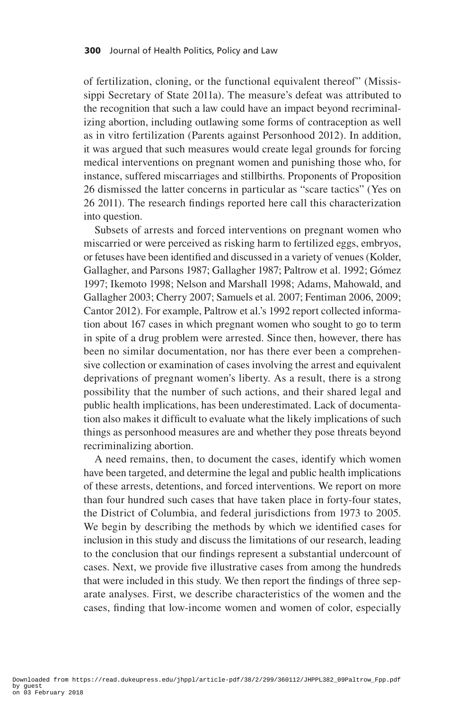of fertilization, cloning, or the functional equivalent thereof" (Mississippi Secretary of State 2011a). The measure's defeat was attributed to the recognition that such a law could have an impact beyond recriminalizing abortion, including outlawing some forms of contraception as well as in vitro fertilization (Parents against Personhood 2012). In addition, it was argued that such measures would create legal grounds for forcing medical interventions on pregnant women and punishing those who, for instance, suffered miscarriages and stillbirths. Proponents of Proposition 26 dismissed the latter concerns in particular as "scare tactics" (Yes on 26 2011). The research findings reported here call this characterization into question.

Subsets of arrests and forced interventions on pregnant women who miscarried or were perceived as risking harm to fertilized eggs, embryos, or fetuses have been identified and discussed in a variety of venues (Kolder, Gallagher, and Parsons 1987; Gallagher 1987; Paltrow et al. 1992; Gómez 1997; Ikemoto 1998; Nelson and Marshall 1998; Adams, Mahowald, and Gallagher 2003; Cherry 2007; Samuels et al. 2007; Fentiman 2006, 2009; Cantor 2012). For example, Paltrow et al.'s 1992 report collected information about 167 cases in which pregnant women who sought to go to term in spite of a drug problem were arrested. Since then, however, there has been no similar documentation, nor has there ever been a comprehensive collection or examination of cases involving the arrest and equivalent deprivations of pregnant women's liberty. As a result, there is a strong possibility that the number of such actions, and their shared legal and public health implications, has been underestimated. Lack of documentation also makes it difficult to evaluate what the likely implications of such things as personhood measures are and whether they pose threats beyond recriminalizing abortion.

A need remains, then, to document the cases, identify which women have been targeted, and determine the legal and public health implications of these arrests, detentions, and forced interventions. We report on more than four hundred such cases that have taken place in forty-four states, the District of Columbia, and federal jurisdictions from 1973 to 2005. We begin by describing the methods by which we identified cases for inclusion in this study and discuss the limitations of our research, leading to the conclusion that our findings represent a substantial undercount of cases. Next, we provide five illustrative cases from among the hundreds that were included in this study. We then report the findings of three separate analyses. First, we describe characteristics of the women and the cases, finding that low-income women and women of color, especially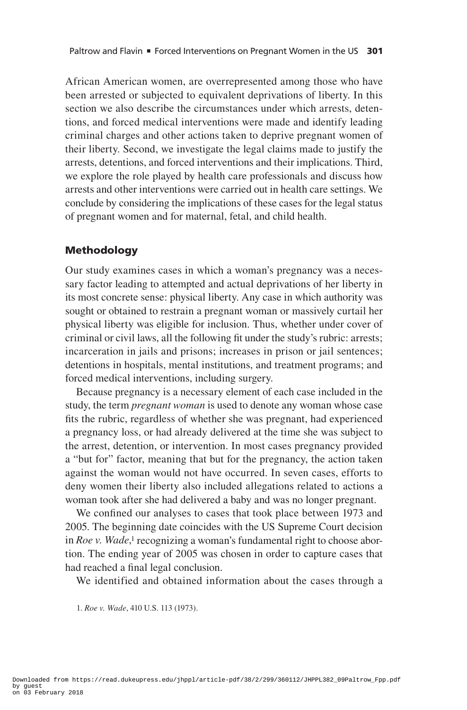African American women, are overrepresented among those who have been arrested or subjected to equivalent deprivations of liberty. In this section we also describe the circumstances under which arrests, detentions, and forced medical interventions were made and identify leading criminal charges and other actions taken to deprive pregnant women of their liberty. Second, we investigate the legal claims made to justify the arrests, detentions, and forced interventions and their implications. Third, we explore the role played by health care professionals and discuss how arrests and other interventions were carried out in health care settings. We conclude by considering the implications of these cases for the legal status of pregnant women and for maternal, fetal, and child health.

## Methodology

Our study examines cases in which a woman's pregnancy was a necessary factor leading to attempted and actual deprivations of her liberty in its most concrete sense: physical liberty. Any case in which authority was sought or obtained to restrain a pregnant woman or massively curtail her physical liberty was eligible for inclusion. Thus, whether under cover of criminal or civil laws, all the following fit under the study's rubric: arrests; incarceration in jails and prisons; increases in prison or jail sentences; detentions in hospitals, mental institutions, and treatment programs; and forced medical interventions, including surgery.

Because pregnancy is a necessary element of each case included in the study, the term *pregnant woman* is used to denote any woman whose case fits the rubric, regardless of whether she was pregnant, had experienced a pregnancy loss, or had already delivered at the time she was subject to the arrest, detention, or intervention. In most cases pregnancy provided a "but for" factor, meaning that but for the pregnancy, the action taken against the woman would not have occurred. In seven cases, efforts to deny women their liberty also included allegations related to actions a woman took after she had delivered a baby and was no longer pregnant.

We confined our analyses to cases that took place between 1973 and 2005. The beginning date coincides with the US Supreme Court decision in *Roe v. Wade*,<sup>1</sup> recognizing a woman's fundamental right to choose abortion. The ending year of 2005 was chosen in order to capture cases that had reached a final legal conclusion.

We identified and obtained information about the cases through a

<sup>1.</sup> *Roe v. Wade*, 410 U.S. 113 (1973).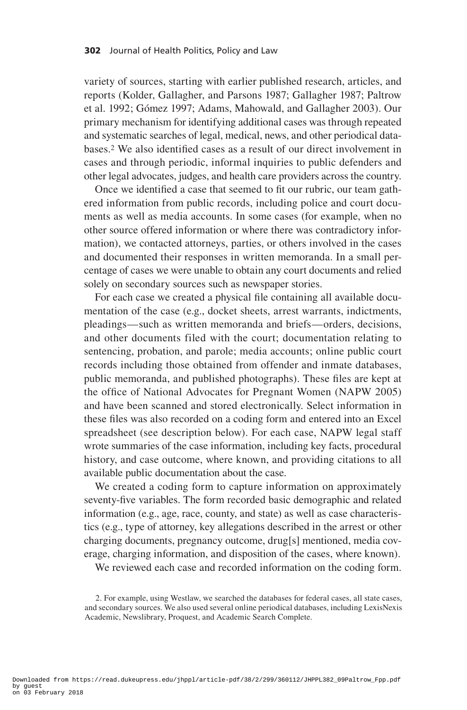variety of sources, starting with earlier published research, articles, and reports (Kolder, Gallagher, and Parsons 1987; Gallagher 1987; Paltrow et al. 1992; Gómez 1997; Adams, Mahowald, and Gallagher 2003). Our primary mechanism for identifying additional cases was through repeated and systematic searches of legal, medical, news, and other periodical databases.2 We also identified cases as a result of our direct involvement in cases and through periodic, informal inquiries to public defenders and other legal advocates, judges, and health care providers across the country.

Once we identified a case that seemed to fit our rubric, our team gathered information from public records, including police and court documents as well as media accounts. In some cases (for example, when no other source offered information or where there was contradictory information), we contacted attorneys, parties, or others involved in the cases and documented their responses in written memoranda. In a small percentage of cases we were unable to obtain any court documents and relied solely on secondary sources such as newspaper stories.

For each case we created a physical file containing all available documentation of the case (e.g., docket sheets, arrest warrants, indictments, pleadings—such as written memoranda and briefs—orders, decisions, and other documents filed with the court; documentation relating to sentencing, probation, and parole; media accounts; online public court records including those obtained from offender and inmate databases, public memoranda, and published photographs). These files are kept at the office of National Advocates for Pregnant Women (NAPW 2005) and have been scanned and stored electronically. Select information in these files was also recorded on a coding form and entered into an Excel spreadsheet (see description below). For each case, NAPW legal staff wrote summaries of the case information, including key facts, procedural history, and case outcome, where known, and providing citations to all available public documentation about the case.

We created a coding form to capture information on approximately seventy-five variables. The form recorded basic demographic and related information (e.g., age, race, county, and state) as well as case characteristics (e.g., type of attorney, key allegations described in the arrest or other charging documents, pregnancy outcome, drug[s] mentioned, media coverage, charging information, and disposition of the cases, where known).

We reviewed each case and recorded information on the coding form.

<sup>2.</sup> For example, using Westlaw, we searched the databases for federal cases, all state cases, and secondary sources. We also used several online periodical databases, including LexisNexis Academic, Newslibrary, Proquest, and Academic Search Complete.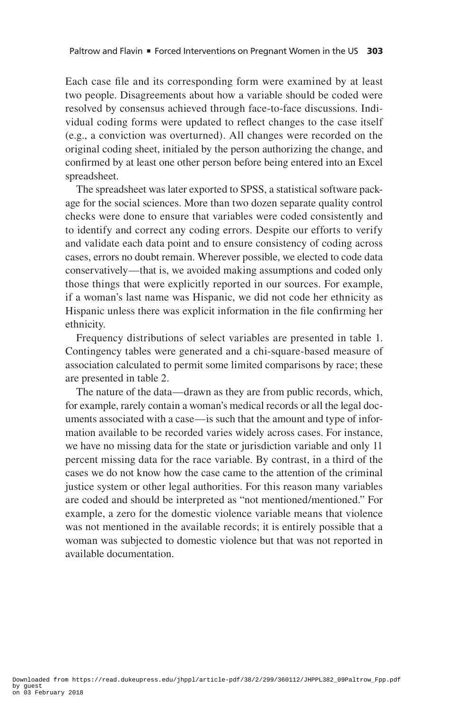Each case file and its corresponding form were examined by at least two people. Disagreements about how a variable should be coded were resolved by consensus achieved through face-to-face discussions. Individual coding forms were updated to reflect changes to the case itself (e.g., a conviction was overturned). All changes were recorded on the original coding sheet, initialed by the person authorizing the change, and confirmed by at least one other person before being entered into an Excel spreadsheet.

The spreadsheet was later exported to SPSS, a statistical software package for the social sciences. More than two dozen separate quality control checks were done to ensure that variables were coded consistently and to identify and correct any coding errors. Despite our efforts to verify and validate each data point and to ensure consistency of coding across cases, errors no doubt remain. Wherever possible, we elected to code data conservatively—that is, we avoided making assumptions and coded only those things that were explicitly reported in our sources. For example, if a woman's last name was Hispanic, we did not code her ethnicity as Hispanic unless there was explicit information in the file confirming her ethnicity.

Frequency distributions of select variables are presented in table 1. Contingency tables were generated and a chi-square-based measure of association calculated to permit some limited comparisons by race; these are presented in table 2.

The nature of the data—drawn as they are from public records, which, for example, rarely contain a woman's medical records or all the legal documents associated with a case—is such that the amount and type of information available to be recorded varies widely across cases. For instance, we have no missing data for the state or jurisdiction variable and only 11 percent missing data for the race variable. By contrast, in a third of the cases we do not know how the case came to the attention of the criminal justice system or other legal authorities. For this reason many variables are coded and should be interpreted as "not mentioned/mentioned." For example, a zero for the domestic violence variable means that violence was not mentioned in the available records; it is entirely possible that a woman was subjected to domestic violence but that was not reported in available documentation.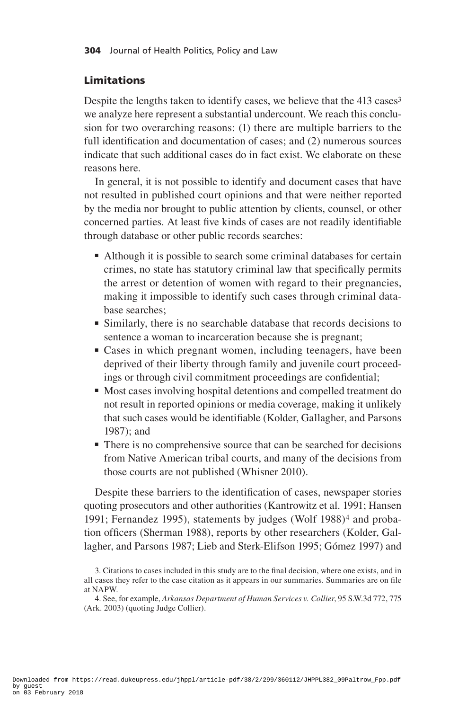## Limitations

Despite the lengths taken to identify cases, we believe that the 413 cases<sup>3</sup> we analyze here represent a substantial undercount. We reach this conclusion for two overarching reasons: (1) there are multiple barriers to the full identification and documentation of cases; and (2) numerous sources indicate that such additional cases do in fact exist. We elaborate on these reasons here.

In general, it is not possible to identify and document cases that have not resulted in published court opinions and that were neither reported by the media nor brought to public attention by clients, counsel, or other concerned parties. At least five kinds of cases are not readily identifiable through database or other public records searches:

- Although it is possible to search some criminal databases for certain crimes, no state has statutory criminal law that specifically permits the arrest or detention of women with regard to their pregnancies, making it impossible to identify such cases through criminal database searches;
- <sup>n</sup> Similarly, there is no searchable database that records decisions to sentence a woman to incarceration because she is pregnant;
- <sup>n</sup> Cases in which pregnant women, including teenagers, have been deprived of their liberty through family and juvenile court proceedings or through civil commitment proceedings are confidential;
- <sup>n</sup> Most cases involving hospital detentions and compelled treatment do not result in reported opinions or media coverage, making it unlikely that such cases would be identifiable (Kolder, Gallagher, and Parsons 1987); and
- <sup>n</sup> There is no comprehensive source that can be searched for decisions from Native American tribal courts, and many of the decisions from those courts are not published (Whisner 2010).

Despite these barriers to the identification of cases, newspaper stories quoting prosecutors and other authorities (Kantrowitz et al. 1991; Hansen 1991; Fernandez 1995), statements by judges (Wolf 1988)4 and probation officers (Sherman 1988), reports by other researchers (Kolder, Gallagher, and Parsons 1987; Lieb and Sterk-Elifson 1995; Gómez 1997) and

<sup>3.</sup> Citations to cases included in this study are to the final decision, where one exists, and in all cases they refer to the case citation as it appears in our summaries. Summaries are on file at NAPW.

<sup>4.</sup> See, for example, *Arkansas Department of Human Services v. Collier*, 95 S.W.3d 772, 775 (Ark. 2003) (quoting Judge Collier).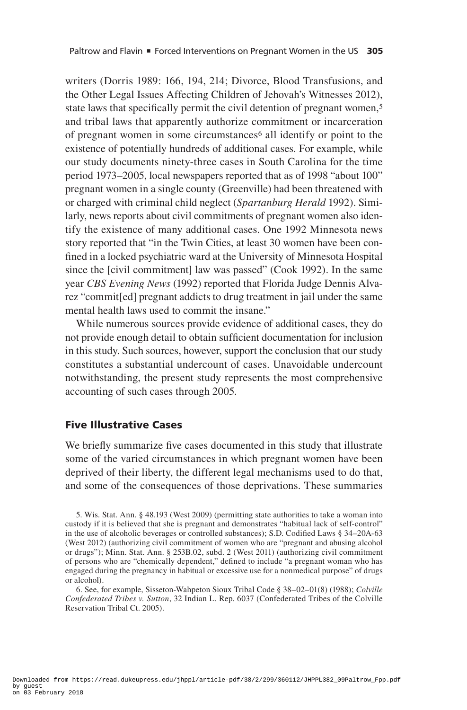writers (Dorris 1989: 166, 194, 214; Divorce, Blood Transfusions, and the Other Legal Issues Affecting Children of Jehovah's Witnesses 2012), state laws that specifically permit the civil detention of pregnant women,<sup>5</sup> and tribal laws that apparently authorize commitment or incarceration of pregnant women in some circumstances<sup>6</sup> all identify or point to the existence of potentially hundreds of additional cases. For example, while our study documents ninety-three cases in South Carolina for the time period 1973–2005, local newspapers reported that as of 1998 "about 100" pregnant women in a single county (Greenville) had been threatened with or charged with criminal child neglect (*Spartanburg Herald* 1992). Similarly, news reports about civil commitments of pregnant women also identify the existence of many additional cases. One 1992 Minnesota news story reported that "in the Twin Cities, at least 30 women have been confined in a locked psychiatric ward at the University of Minnesota Hospital since the [civil commitment] law was passed" (Cook 1992). In the same year *CBS Evening News* (1992) reported that Florida Judge Dennis Alvarez "commit[ed] pregnant addicts to drug treatment in jail under the same mental health laws used to commit the insane."

While numerous sources provide evidence of additional cases, they do not provide enough detail to obtain sufficient documentation for inclusion in this study. Such sources, however, support the conclusion that our study constitutes a substantial undercount of cases. Unavoidable undercount notwithstanding, the present study represents the most comprehensive accounting of such cases through 2005.

#### Five Illustrative Cases

We briefly summarize five cases documented in this study that illustrate some of the varied circumstances in which pregnant women have been deprived of their liberty, the different legal mechanisms used to do that, and some of the consequences of those deprivations. These summaries

5. Wis. Stat. Ann. § 48.193 (West 2009) (permitting state authorities to take a woman into custody if it is believed that she is pregnant and demonstrates "habitual lack of self-control" in the use of alcoholic beverages or controlled substances); S.D. Codified Laws § 34–20A-63 (West 2012) (authorizing civil commitment of women who are "pregnant and abusing alcohol or drugs"); Minn. Stat. Ann. § 253B.02, subd. 2 (West 2011) (authorizing civil commitment of persons who are "chemically dependent," defined to include "a pregnant woman who has engaged during the pregnancy in habitual or excessive use for a nonmedical purpose" of drugs or alcohol).

6. See, for example, Sisseton-Wahpeton Sioux Tribal Code § 38–02–01(8) (1988); *Colville Confederated Tribes v. Sutton*, 32 Indian L. Rep. 6037 (Confederated Tribes of the Colville Reservation Tribal Ct. 2005).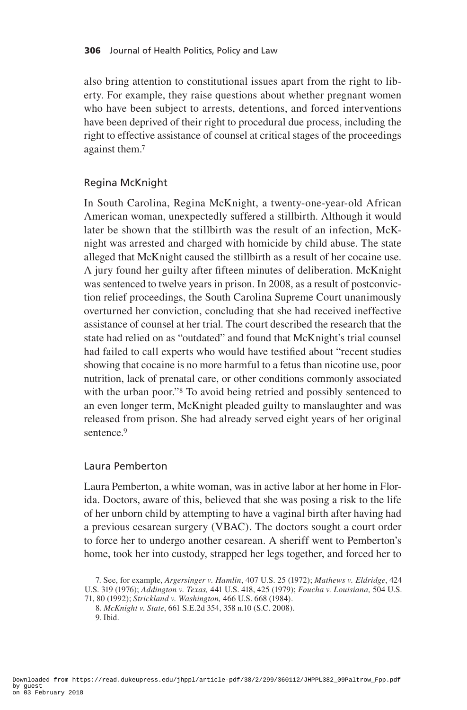also bring attention to constitutional issues apart from the right to liberty. For example, they raise questions about whether pregnant women who have been subject to arrests, detentions, and forced interventions have been deprived of their right to procedural due process, including the right to effective assistance of counsel at critical stages of the proceedings against them.7

## Regina McKnight

In South Carolina, Regina McKnight, a twenty-one-year-old African American woman, unexpectedly suffered a stillbirth. Although it would later be shown that the stillbirth was the result of an infection, McKnight was arrested and charged with homicide by child abuse. The state alleged that McKnight caused the stillbirth as a result of her cocaine use. A jury found her guilty after fifteen minutes of deliberation. McKnight was sentenced to twelve years in prison. In 2008, as a result of postconviction relief proceedings, the South Carolina Supreme Court unanimously overturned her conviction, concluding that she had received ineffective assistance of counsel at her trial. The court described the research that the state had relied on as "outdated" and found that McKnight's trial counsel had failed to call experts who would have testified about "recent studies showing that cocaine is no more harmful to a fetus than nicotine use, poor nutrition, lack of prenatal care, or other conditions commonly associated with the urban poor."<sup>8</sup> To avoid being retried and possibly sentenced to an even longer term, McKnight pleaded guilty to manslaughter and was released from prison. She had already served eight years of her original sentence.<sup>9</sup>

## Laura Pemberton

Laura Pemberton, a white woman, was in active labor at her home in Florida. Doctors, aware of this, believed that she was posing a risk to the life of her unborn child by attempting to have a vaginal birth after having had a previous cesarean surgery (VBAC). The doctors sought a court order to force her to undergo another cesarean. A sheriff went to Pemberton's home, took her into custody, strapped her legs together, and forced her to

Downloaded from https://read.dukeupress.edu/jhppl/article-pdf/38/2/299/360112/JHPPL382\_09Paltrow\_Fpp.pdf by guest on 03 February 2018

<sup>7.</sup> See, for example, *Argersinger v. Hamlin*, 407 U.S. 25 (1972); *Mathews v. Eldridge*, 424 U.S. 319 (1976); *Addington v. Texas,* 441 U.S. 418, 425 (1979); *Foucha v. Louisiana,* 504 U.S. 71, 80 (1992); *Strickland v. Washington,* 466 U.S. 668 (1984).

<sup>8.</sup> *McKnight v. State*, 661 S.E.2d 354, 358 n.10 (S.C. 2008). 9. Ibid.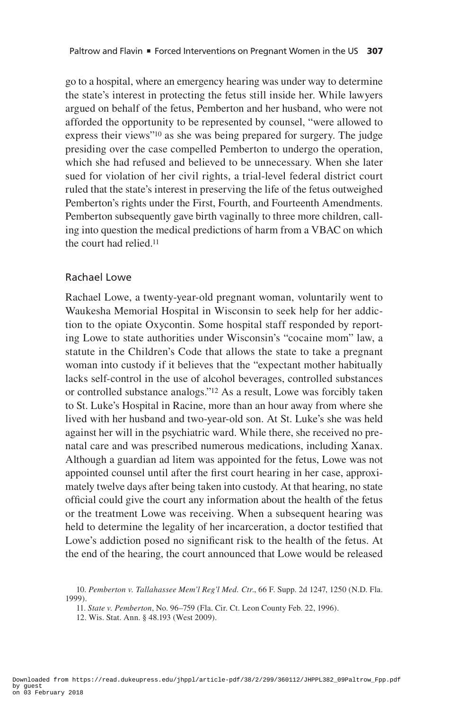go to a hospital, where an emergency hearing was under way to determine the state's interest in protecting the fetus still inside her. While lawyers argued on behalf of the fetus, Pemberton and her husband, who were not afforded the opportunity to be represented by counsel, "were allowed to express their views"10 as she was being prepared for surgery. The judge presiding over the case compelled Pemberton to undergo the operation, which she had refused and believed to be unnecessary. When she later sued for violation of her civil rights, a trial-level federal district court ruled that the state's interest in preserving the life of the fetus outweighed Pemberton's rights under the First, Fourth, and Fourteenth Amendments. Pemberton subsequently gave birth vaginally to three more children, calling into question the medical predictions of harm from a VBAC on which the court had relied.<sup>11</sup>

#### Rachael Lowe

Rachael Lowe, a twenty-year-old pregnant woman, voluntarily went to Waukesha Memorial Hospital in Wisconsin to seek help for her addiction to the opiate Oxycontin. Some hospital staff responded by reporting Lowe to state authorities under Wisconsin's "cocaine mom" law, a statute in the Children's Code that allows the state to take a pregnant woman into custody if it believes that the "expectant mother habitually lacks self-control in the use of alcohol beverages, controlled substances or controlled substance analogs."12 As a result, Lowe was forcibly taken to St. Luke's Hospital in Racine, more than an hour away from where she lived with her husband and two-year-old son. At St. Luke's she was held against her will in the psychiatric ward. While there, she received no prenatal care and was prescribed numerous medications, including Xanax. Although a guardian ad litem was appointed for the fetus, Lowe was not appointed counsel until after the first court hearing in her case, approximately twelve days after being taken into custody. At that hearing, no state official could give the court any information about the health of the fetus or the treatment Lowe was receiving. When a subsequent hearing was held to determine the legality of her incarceration, a doctor testified that Lowe's addiction posed no significant risk to the health of the fetus. At the end of the hearing, the court announced that Lowe would be released

<sup>10.</sup> *Pemberton v. Tallahassee Mem'l Reg'l Med. Ctr*., 66 F. Supp. 2d 1247, 1250 (N.D. Fla. 1999).

<sup>11.</sup> *State v. Pemberton*, No. 96–759 (Fla. Cir. Ct. Leon County Feb. 22, 1996).

<sup>12.</sup> Wis. Stat. Ann. § 48.193 (West 2009).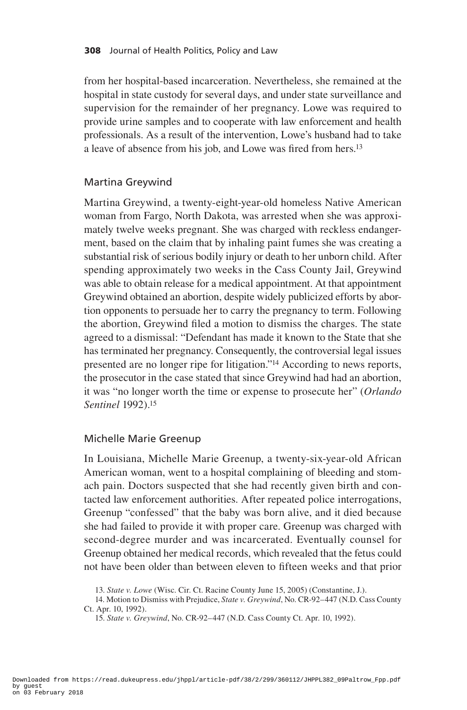from her hospital-based incarceration. Nevertheless, she remained at the hospital in state custody for several days, and under state surveillance and supervision for the remainder of her pregnancy. Lowe was required to provide urine samples and to cooperate with law enforcement and health professionals. As a result of the intervention, Lowe's husband had to take a leave of absence from his job, and Lowe was fired from hers.13

## Martina Greywind

Martina Greywind, a twenty-eight-year-old homeless Native American woman from Fargo, North Dakota, was arrested when she was approximately twelve weeks pregnant. She was charged with reckless endangerment, based on the claim that by inhaling paint fumes she was creating a substantial risk of serious bodily injury or death to her unborn child. After spending approximately two weeks in the Cass County Jail, Greywind was able to obtain release for a medical appointment. At that appointment Greywind obtained an abortion, despite widely publicized efforts by abortion opponents to persuade her to carry the pregnancy to term. Following the abortion, Greywind filed a motion to dismiss the charges. The state agreed to a dismissal: "Defendant has made it known to the State that she has terminated her pregnancy. Consequently, the controversial legal issues presented are no longer ripe for litigation."14 According to news reports, the prosecutor in the case stated that since Greywind had had an abortion, it was "no longer worth the time or expense to prosecute her" (*Orlando Sentinel* 1992).15

## Michelle Marie Greenup

In Louisiana, Michelle Marie Greenup, a twenty-six-year-old African American woman, went to a hospital complaining of bleeding and stomach pain. Doctors suspected that she had recently given birth and contacted law enforcement authorities. After repeated police interrogations, Greenup "confessed" that the baby was born alive, and it died because she had failed to provide it with proper care. Greenup was charged with second-degree murder and was incarcerated. Eventually counsel for Greenup obtained her medical records, which revealed that the fetus could not have been older than between eleven to fifteen weeks and that prior

<sup>13.</sup> *State v. Lowe* (Wisc. Cir. Ct. Racine County June 15, 2005) (Constantine, J.).

<sup>14.</sup> Motion to Dismiss with Prejudice, *State v. Greywind*, No. CR-92–447 (N.D. Cass County Ct. Apr. 10, 1992).

<sup>15.</sup> *State v. Greywind*, No. CR-92–447 (N.D. Cass County Ct. Apr. 10, 1992).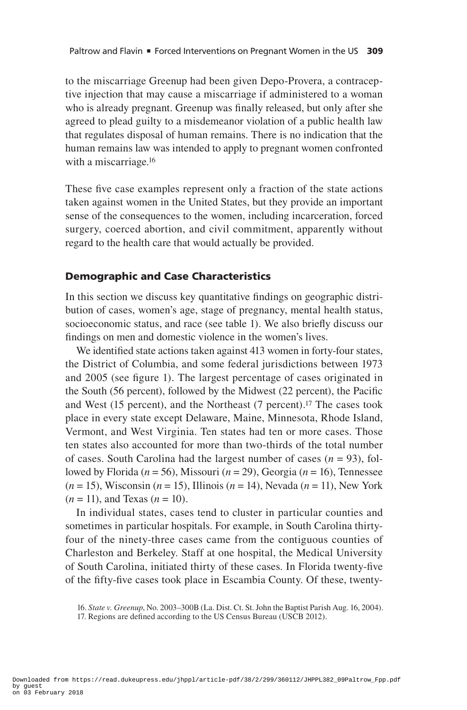to the miscarriage Greenup had been given Depo-Provera, a contraceptive injection that may cause a miscarriage if administered to a woman who is already pregnant. Greenup was finally released, but only after she agreed to plead guilty to a misdemeanor violation of a public health law that regulates disposal of human remains. There is no indication that the human remains law was intended to apply to pregnant women confronted with a miscarriage.<sup>16</sup>

These five case examples represent only a fraction of the state actions taken against women in the United States, but they provide an important sense of the consequences to the women, including incarceration, forced surgery, coerced abortion, and civil commitment, apparently without regard to the health care that would actually be provided.

#### Demographic and Case Characteristics

In this section we discuss key quantitative findings on geographic distribution of cases, women's age, stage of pregnancy, mental health status, socioeconomic status, and race (see table 1). We also briefly discuss our findings on men and domestic violence in the women's lives.

We identified state actions taken against 413 women in forty-four states, the District of Columbia, and some federal jurisdictions between 1973 and 2005 (see figure 1). The largest percentage of cases originated in the South (56 percent), followed by the Midwest (22 percent), the Pacific and West (15 percent), and the Northeast (7 percent).17 The cases took place in every state except Delaware, Maine, Minnesota, Rhode Island, Vermont, and West Virginia. Ten states had ten or more cases. Those ten states also accounted for more than two-thirds of the total number of cases. South Carolina had the largest number of cases  $(n = 93)$ , followed by Florida ( $n = 56$ ), Missouri ( $n = 29$ ), Georgia ( $n = 16$ ), Tennessee (*n* = 15), Wisconsin (*n* = 15), Illinois (*n* = 14), Nevada (*n* = 11), New York  $(n = 11)$ , and Texas  $(n = 10)$ .

In individual states, cases tend to cluster in particular counties and sometimes in particular hospitals. For example, in South Carolina thirtyfour of the ninety-three cases came from the contiguous counties of Charleston and Berkeley. Staff at one hospital, the Medical University of South Carolina, initiated thirty of these cases. In Florida twenty-five of the fifty-five cases took place in Escambia County. Of these, twenty-

<sup>16.</sup> *State v. Greenup*, No. 2003–300B (La. Dist. Ct. St. John the Baptist Parish Aug. 16, 2004). 17. Regions are defined according to the US Census Bureau (USCB 2012).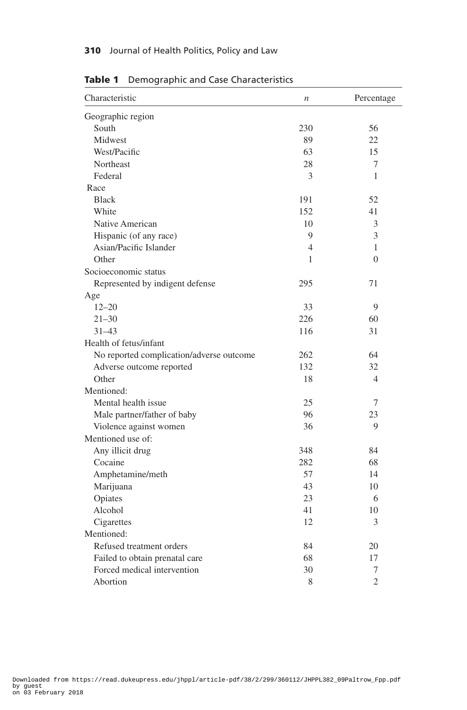#### 310 Journal of Health Politics, Policy and Law

| Characteristic                           | $\boldsymbol{n}$ | Percentage     |
|------------------------------------------|------------------|----------------|
| Geographic region                        |                  |                |
| South                                    | 230              | 56             |
| Midwest                                  | 89               | 22             |
| West/Pacific                             | 63               | 15             |
| Northeast                                | 28               | 7              |
| Federal                                  | 3                | 1              |
| Race                                     |                  |                |
| <b>Black</b>                             | 191              | 52             |
| White                                    | 152              | 41             |
| Native American                          | 10               | 3              |
| Hispanic (of any race)                   | 9                | 3              |
| Asian/Pacific Islander                   | 4                | 1              |
| Other                                    | 1                | $\theta$       |
| Socioeconomic status                     |                  |                |
| Represented by indigent defense          | 295              | 71             |
| Age                                      |                  |                |
| $12 - 20$                                | 33               | 9              |
| $21 - 30$                                | 226              | 60             |
| $31 - 43$                                | 116              | 31             |
| Health of fetus/infant                   |                  |                |
| No reported complication/adverse outcome | 262              | 64             |
| Adverse outcome reported                 | 132              | 32             |
| Other                                    | 18               | $\overline{4}$ |
| Mentioned:                               |                  |                |
| Mental health issue                      | 25               | 7              |
| Male partner/father of baby              | 96               | 23             |
| Violence against women                   | 36               | 9              |
| Mentioned use of:                        |                  |                |
| Any illicit drug                         | 348              | 84             |
| Cocaine                                  | 282              | 68             |
| Amphetamine/meth                         | 57               | 14             |
| Marijuana                                | 43               | 10             |
| Opiates                                  | 23               | 6              |
| Alcohol                                  | 41               | 10             |
| Cigarettes                               | 12               | 3              |
| Mentioned:                               |                  |                |
| Refused treatment orders                 | 84               | 20             |
| Failed to obtain prenatal care           | 68               | 17             |
| Forced medical intervention              | 30               | 7              |
| Abortion                                 | 8                | $\overline{2}$ |

Table 1 Demographic and Case Characteristics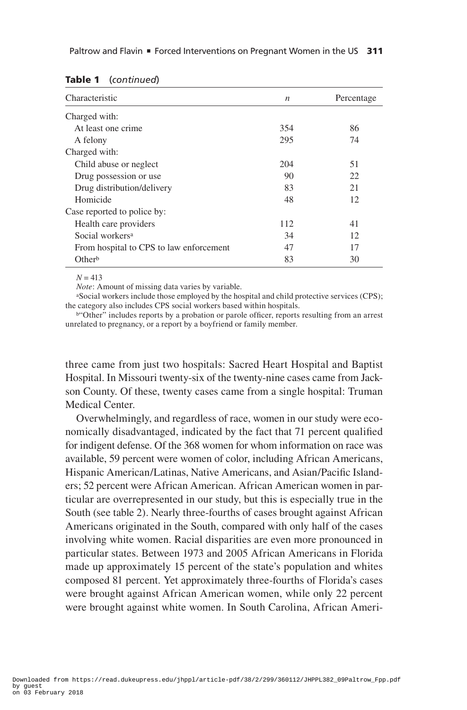| Characteristic                          | $\boldsymbol{n}$ | Percentage |
|-----------------------------------------|------------------|------------|
| Charged with:                           |                  |            |
| At least one crime                      | 354              | 86         |
| A felony                                | 295              | 74         |
| Charged with:                           |                  |            |
| Child abuse or neglect                  | 204              | 51         |
| Drug possession or use                  | 90               | 22         |
| Drug distribution/delivery              | 83               | 21         |
| Homicide                                | 48               | 12         |
| Case reported to police by:             |                  |            |
| Health care providers                   | 112              | 41         |
| Social workers <sup>a</sup>             | 34               | 12         |
| From hospital to CPS to law enforcement | 47               | 17         |
| Other <sup>b</sup>                      | 83               | 30         |

#### Table 1 (*continued*)

 $N = 413$ 

*Note*: Amount of missing data varies by variable.

<sup>a</sup>Social workers include those employed by the hospital and child protective services (CPS); the category also includes CPS social workers based within hospitals.

<sup>b"</sup>Other" includes reports by a probation or parole officer, reports resulting from an arrest unrelated to pregnancy, or a report by a boyfriend or family member.

three came from just two hospitals: Sacred Heart Hospital and Baptist Hospital. In Missouri twenty-six of the twenty-nine cases came from Jackson County. Of these, twenty cases came from a single hospital: Truman Medical Center.

Overwhelmingly, and regardless of race, women in our study were economically disadvantaged, indicated by the fact that 71 percent qualified for indigent defense. Of the 368 women for whom information on race was available, 59 percent were women of color, including African Americans, Hispanic American/Latinas, Native Americans, and Asian/Pacific Islanders; 52 percent were African American. African American women in particular are overrepresented in our study, but this is especially true in the South (see table 2). Nearly three-fourths of cases brought against African Americans originated in the South, compared with only half of the cases involving white women. Racial disparities are even more pronounced in particular states. Between 1973 and 2005 African Americans in Florida made up approximately 15 percent of the state's population and whites composed 81 percent. Yet approximately three-fourths of Florida's cases were brought against African American women, while only 22 percent were brought against white women. In South Carolina, African Ameri-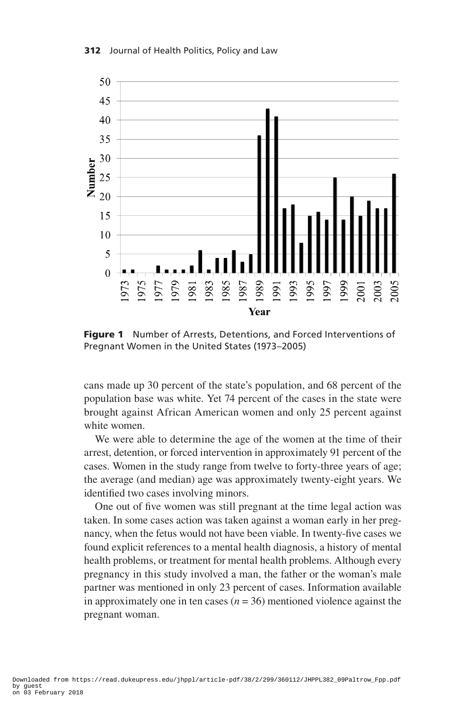

Figure 1 Number of Arrests, Detentions, and Forced Interventions of Pregnant Women in the United States (1973–2005)

cans made up 30 percent of the state's population, and 68 percent of the population base was white. Yet 74 percent of the cases in the state were brought against African American women and only 25 percent against white women.

We were able to determine the age of the women at the time of their arrest, detention, or forced intervention in approximately 91 percent of the cases. Women in the study range from twelve to forty-three years of age; the average (and median) age was approximately twenty-eight years. We identified two cases involving minors.

One out of five women was still pregnant at the time legal action was taken. In some cases action was taken against a woman early in her pregnancy, when the fetus would not have been viable. In twenty-five cases we found explicit references to a mental health diagnosis, a history of mental health problems, or treatment for mental health problems. Although every pregnancy in this study involved a man, the father or the woman's male partner was mentioned in only 23 percent of cases. Information available in approximately one in ten cases  $(n = 36)$  mentioned violence against the pregnant woman.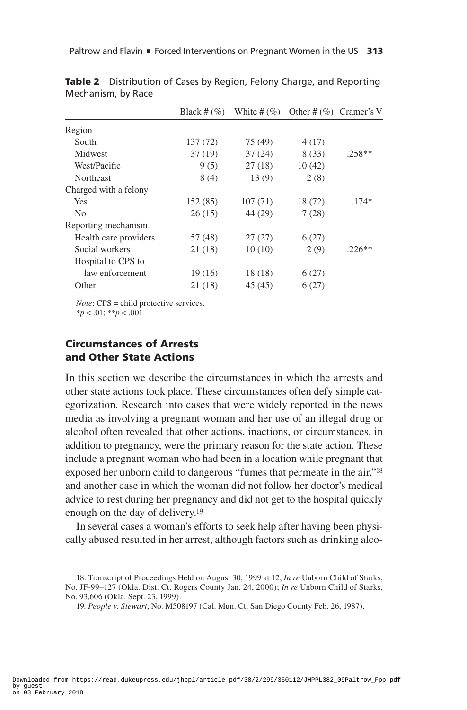|                       | Black # $(\%)$ | White # $(\%)$ | Other # $(\%)$ Cramer's V |          |
|-----------------------|----------------|----------------|---------------------------|----------|
| Region                |                |                |                           |          |
| South                 | 137 (72)       | 75 (49)        | 4(17)                     |          |
| Midwest               | 37(19)         | 37(24)         | 8(33)                     | $.258**$ |
| West/Pacific          | 9(5)           | 27(18)         | 10(42)                    |          |
| <b>Northeast</b>      | 8(4)           | 13(9)          | 2(8)                      |          |
| Charged with a felony |                |                |                           |          |
| <b>Yes</b>            | 152 (85)       | 107(71)        | 18 (72)                   | $.174*$  |
| N <sub>0</sub>        | 26(15)         | 44 (29)        | 7(28)                     |          |
| Reporting mechanism   |                |                |                           |          |
| Health care providers | 57 (48)        | 27(27)         | 6(27)                     |          |
| Social workers        | 21 (18)        | 10(10)         | 2(9)                      | $.226**$ |
| Hospital to CPS to    |                |                |                           |          |
| law enforcement       | 19(16)         | 18(18)         | 6(27)                     |          |
| Other                 | 21 (18)        | 45 (45)        | 6(27)                     |          |

Table 2 Distribution of Cases by Region, Felony Charge, and Reporting Mechanism, by Race

*Note*: CPS = child protective services.

\**p* < .01; \*\**p* < .001

# Circumstances of Arrests and Other State Actions

In this section we describe the circumstances in which the arrests and other state actions took place. These circumstances often defy simple categorization. Research into cases that were widely reported in the news media as involving a pregnant woman and her use of an illegal drug or alcohol often revealed that other actions, inactions, or circumstances, in addition to pregnancy, were the primary reason for the state action. These include a pregnant woman who had been in a location while pregnant that exposed her unborn child to dangerous "fumes that permeate in the air,"18 and another case in which the woman did not follow her doctor's medical advice to rest during her pregnancy and did not get to the hospital quickly enough on the day of delivery.19

In several cases a woman's efforts to seek help after having been physically abused resulted in her arrest, although factors such as drinking alco-

<sup>18.</sup> Transcript of Proceedings Held on August 30, 1999 at 12, *In re* Unborn Child of Starks, No. JF-99–127 (Okla. Dist. Ct. Rogers County Jan. 24, 2000); *In re* Unborn Child of Starks, No. 93,606 (Okla. Sept. 23, 1999).

<sup>19.</sup> *People v. Stewart*, No. M508197 (Cal. Mun. Ct. San Diego County Feb. 26, 1987).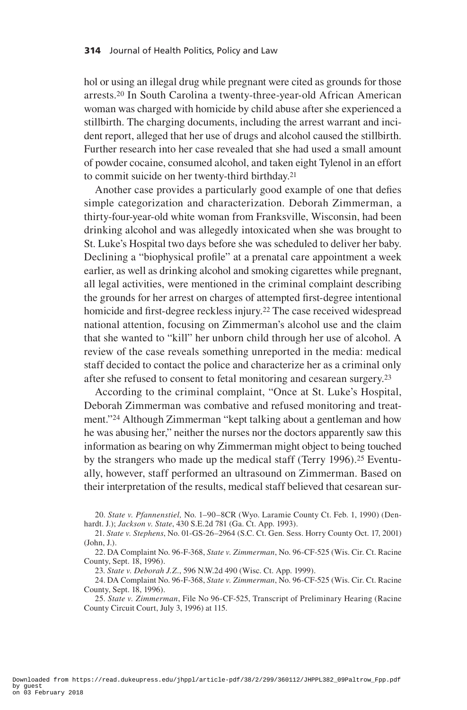hol or using an illegal drug while pregnant were cited as grounds for those arrests.20 In South Carolina a twenty-three-year-old African American woman was charged with homicide by child abuse after she experienced a stillbirth. The charging documents, including the arrest warrant and incident report, alleged that her use of drugs and alcohol caused the stillbirth. Further research into her case revealed that she had used a small amount of powder cocaine, consumed alcohol, and taken eight Tylenol in an effort to commit suicide on her twenty-third birthday.21

Another case provides a particularly good example of one that defies simple categorization and characterization. Deborah Zimmerman, a thirty-four-year-old white woman from Franksville, Wisconsin, had been drinking alcohol and was allegedly intoxicated when she was brought to St. Luke's Hospital two days before she was scheduled to deliver her baby. Declining a "biophysical profile" at a prenatal care appointment a week earlier, as well as drinking alcohol and smoking cigarettes while pregnant, all legal activities, were mentioned in the criminal complaint describing the grounds for her arrest on charges of attempted first-degree intentional homicide and first-degree reckless injury.<sup>22</sup> The case received widespread national attention, focusing on Zimmerman's alcohol use and the claim that she wanted to "kill" her unborn child through her use of alcohol. A review of the case reveals something unreported in the media: medical staff decided to contact the police and characterize her as a criminal only after she refused to consent to fetal monitoring and cesarean surgery.23

According to the criminal complaint, "Once at St. Luke's Hospital, Deborah Zimmerman was combative and refused monitoring and treatment."24 Although Zimmerman "kept talking about a gentleman and how he was abusing her," neither the nurses nor the doctors apparently saw this information as bearing on why Zimmerman might object to being touched by the strangers who made up the medical staff (Terry 1996).25 Eventually, however, staff performed an ultrasound on Zimmerman. Based on their interpretation of the results, medical staff believed that cesarean sur-

20. *State v. Pfannenstiel,* No. 1–90–8CR (Wyo. Laramie County Ct. Feb. 1, 1990) (Denhardt. J.); *Jackson v. State*, 430 S.E.2d 781 (Ga. Ct. App. 1993).

21. *State v. Stephens*, No. 01-GS-26–2964 (S.C. Ct. Gen. Sess. Horry County Oct. 17, 2001) (John, J.).

22. DA Complaint No. 96-F-368, *State v. Zimmerman*, No. 96-CF-525 (Wis. Cir. Ct. Racine County, Sept. 18, 1996).

23. *State v. Deborah J.Z.*, 596 N.W.2d 490 (Wisc. Ct. App. 1999).

24. DA Complaint No. 96-F-368, *State v. Zimmerman*, No. 96-CF-525 (Wis. Cir. Ct. Racine County, Sept. 18, 1996).

25. *State v. Zimmerman*, File No 96-CF-525, Transcript of Preliminary Hearing (Racine County Circuit Court, July 3, 1996) at 115.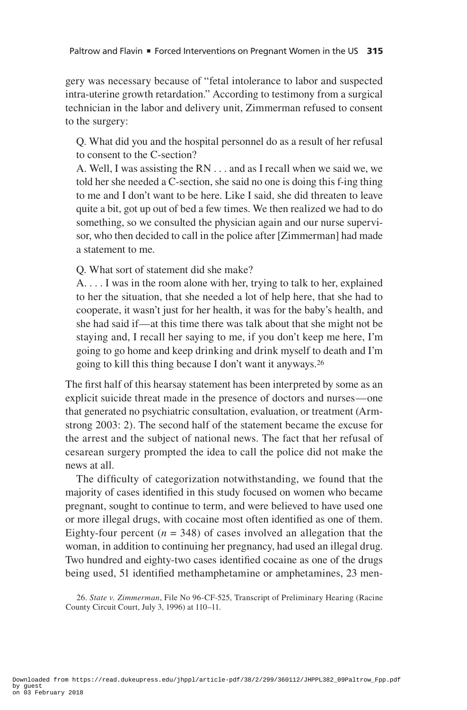gery was necessary because of "fetal intolerance to labor and suspected intra-uterine growth retardation." According to testimony from a surgical technician in the labor and delivery unit, Zimmerman refused to consent to the surgery:

Q. What did you and the hospital personnel do as a result of her refusal to consent to the C-section?

A. Well, I was assisting the RN . . . and as I recall when we said we, we told her she needed a C-section, she said no one is doing this f-ing thing to me and I don't want to be here. Like I said, she did threaten to leave quite a bit, got up out of bed a few times. We then realized we had to do something, so we consulted the physician again and our nurse supervisor, who then decided to call in the police after [Zimmerman] had made a statement to me.

Q. What sort of statement did she make?

A. . . . I was in the room alone with her, trying to talk to her, explained to her the situation, that she needed a lot of help here, that she had to cooperate, it wasn't just for her health, it was for the baby's health, and she had said if—at this time there was talk about that she might not be staying and, I recall her saying to me, if you don't keep me here, I'm going to go home and keep drinking and drink myself to death and I'm going to kill this thing because I don't want it anyways.26

The first half of this hearsay statement has been interpreted by some as an explicit suicide threat made in the presence of doctors and nurses—one that generated no psychiatric consultation, evaluation, or treatment (Armstrong 2003: 2). The second half of the statement became the excuse for the arrest and the subject of national news. The fact that her refusal of cesarean surgery prompted the idea to call the police did not make the news at all.

The difficulty of categorization notwithstanding, we found that the majority of cases identified in this study focused on women who became pregnant, sought to continue to term, and were believed to have used one or more illegal drugs, with cocaine most often identified as one of them. Eighty-four percent  $(n = 348)$  of cases involved an allegation that the woman, in addition to continuing her pregnancy, had used an illegal drug. Two hundred and eighty-two cases identified cocaine as one of the drugs being used, 51 identified methamphetamine or amphetamines, 23 men-

26. *State v. Zimmerman*, File No 96-CF-525, Transcript of Preliminary Hearing (Racine County Circuit Court, July 3, 1996) at 110–11.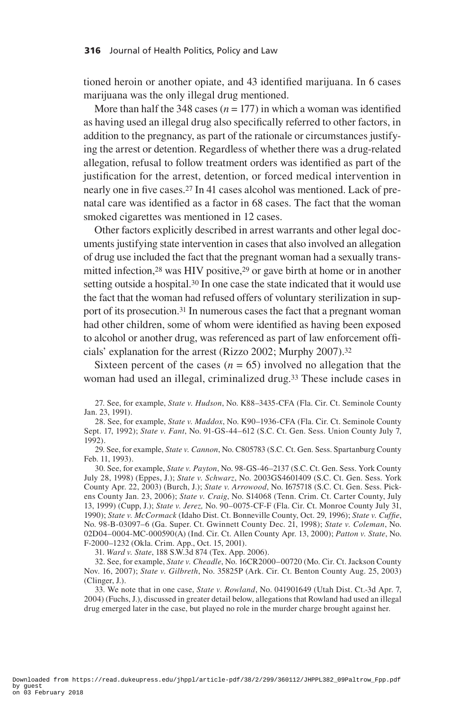tioned heroin or another opiate, and 43 identified marijuana. In 6 cases marijuana was the only illegal drug mentioned.

More than half the 348 cases  $(n = 177)$  in which a woman was identified as having used an illegal drug also specifically referred to other factors, in addition to the pregnancy, as part of the rationale or circumstances justifying the arrest or detention. Regardless of whether there was a drug-related allegation, refusal to follow treatment orders was identified as part of the justification for the arrest, detention, or forced medical intervention in nearly one in five cases.27 In 41 cases alcohol was mentioned. Lack of prenatal care was identified as a factor in 68 cases. The fact that the woman smoked cigarettes was mentioned in 12 cases.

Other factors explicitly described in arrest warrants and other legal documents justifying state intervention in cases that also involved an allegation of drug use included the fact that the pregnant woman had a sexually transmitted infection,<sup>28</sup> was HIV positive,<sup>29</sup> or gave birth at home or in another setting outside a hospital.<sup>30</sup> In one case the state indicated that it would use the fact that the woman had refused offers of voluntary sterilization in support of its prosecution.<sup>31</sup> In numerous cases the fact that a pregnant woman had other children, some of whom were identified as having been exposed to alcohol or another drug, was referenced as part of law enforcement officials' explanation for the arrest (Rizzo 2002; Murphy 2007).32

Sixteen percent of the cases  $(n = 65)$  involved no allegation that the woman had used an illegal, criminalized drug.<sup>33</sup> These include cases in

27. See, for example, *State v. Hudson*, No. K88–3435-CFA (Fla. Cir. Ct. Seminole County Jan. 23, 1991).

28. See, for example, *State v. Maddox*, No. K90–1936-CFA (Fla. Cir. Ct. Seminole County Sept. 17, 1992); *State v. Fant*, No. 91-GS-44–612 (S.C. Ct. Gen. Sess. Union County July 7, 1992).

29. See, for example, *State v. Cannon*, No. C805783 (S.C. Ct. Gen. Sess. Spartanburg County Feb. 11, 1993).

30. See, for example, *State v. Payton*, No. 98-GS-46–2137 (S.C. Ct. Gen. Sess. York County July 28, 1998) (Eppes, J.); *State v. Schwarz*, No. 2003GS4601409 (S.C. Ct. Gen. Sess. York County Apr. 22, 2003) (Burch, J.); *State v. Arrowood*, No. I675718 (S.C. Ct. Gen. Sess. Pickens County Jan. 23, 2006); *State v. Craig*, No. S14068 (Tenn. Crim. Ct. Carter County, July 13, 1999) (Cupp, J.); *State v. Jerez,* No. 90–0075-CF-F (Fla. Cir. Ct. Monroe County July 31, 1990); *State v. McCormack* (Idaho Dist. Ct. Bonneville County, Oct. 29, 1996); *State v. Cuffie*, No. 98-B-03097–6 (Ga. Super. Ct. Gwinnett County Dec. 21, 1998); *State v. Coleman*, No. 02D04–0004-MC-000590(A) (Ind. Cir. Ct. Allen County Apr. 13, 2000); *Patton v. State*, No. F-2000–1232 (Okla. Crim. App., Oct. 15, 2001).

31. *Ward v. State*, 188 S.W.3d 874 (Tex. App. 2006).

32. See, for example, *State v. Cheadle*, No. 16CR2000–00720 (Mo. Cir. Ct. Jackson County Nov. 16, 2007); *State v. Gilbreth*, No. 35825P (Ark. Cir. Ct. Benton County Aug. 25, 2003) (Clinger, J.).

33. We note that in one case, *State v. Rowland*, No. 041901649 (Utah Dist. Ct.-3d Apr. 7, 2004) (Fuchs, J.), discussed in greater detail below, allegations that Rowland had used an illegal drug emerged later in the case, but played no role in the murder charge brought against her.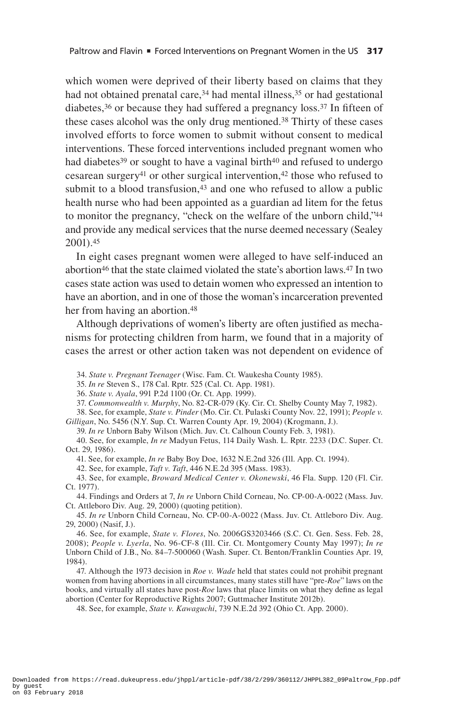which women were deprived of their liberty based on claims that they had not obtained prenatal care,<sup>34</sup> had mental illness,<sup>35</sup> or had gestational diabetes,<sup>36</sup> or because they had suffered a pregnancy loss.<sup>37</sup> In fifteen of these cases alcohol was the only drug mentioned.38 Thirty of these cases involved efforts to force women to submit without consent to medical interventions. These forced interventions included pregnant women who had diabetes<sup>39</sup> or sought to have a vaginal birth<sup>40</sup> and refused to undergo cesarean surgery<sup>41</sup> or other surgical intervention,<sup>42</sup> those who refused to submit to a blood transfusion,<sup>43</sup> and one who refused to allow a public health nurse who had been appointed as a guardian ad litem for the fetus to monitor the pregnancy, "check on the welfare of the unborn child,"44 and provide any medical services that the nurse deemed necessary (Sealey 2001).45

In eight cases pregnant women were alleged to have self-induced an abortion<sup>46</sup> that the state claimed violated the state's abortion laws.<sup>47</sup> In two cases state action was used to detain women who expressed an intention to have an abortion, and in one of those the woman's incarceration prevented her from having an abortion.<sup>48</sup>

Although deprivations of women's liberty are often justified as mechanisms for protecting children from harm, we found that in a majority of cases the arrest or other action taken was not dependent on evidence of

36. *State v. Ayala*, 991 P.2d 1100 (Or. Ct. App. 1999).

38. See, for example, *State v. Pinder* (Mo. Cir. Ct. Pulaski County Nov. 22, 1991); *People v. Gilligan*, No. 5456 (N.Y. Sup. Ct. Warren County Apr. 19, 2004) (Krogmann, J.).

39. *In re* Unborn Baby Wilson (Mich. Juv. Ct. Calhoun County Feb. 3, 1981).

40. See, for example, *In re* Madyun Fetus, 114 Daily Wash. L. Rptr. 2233 (D.C. Super. Ct. Oct. 29, 1986).

41. See, for example, *In re* Baby Boy Doe, 1632 N.E.2nd 326 (Ill. App. Ct. 1994).

42. See, for example, *Taft v. Taft*, 446 N.E.2d 395 (Mass. 1983).

43. See, for example, *Broward Medical Center v. Okonewski*, 46 Fla. Supp. 120 (Fl. Cir. Ct. 1977).

44. Findings and Orders at 7, *In re* Unborn Child Corneau, No. CP-00-A-0022 (Mass. Juv. Ct. Attleboro Div. Aug. 29, 2000) (quoting petition).

45. *In re* Unborn Child Corneau, No. CP-00-A-0022 (Mass. Juv. Ct. Attleboro Div. Aug. 29, 2000) (Nasif, J.).

46. See, for example, *State v. Flores*, No. 2006GS3203466 (S.C. Ct. Gen. Sess. Feb. 28, 2008); *People v. Lyerla*, No. 96-CF-8 (Ill. Cir. Ct. Montgomery County May 1997); *In re* Unborn Child of J.B., No. 84–7-500060 (Wash. Super. Ct. Benton/Franklin Counties Apr. 19, 1984).

47. Although the 1973 decision in *Roe v. Wade* held that states could not prohibit pregnant women from having abortions in all circumstances, many states still have "pre-*Roe*" laws on the books, and virtually all states have post-*Roe* laws that place limits on what they define as legal abortion (Center for Reproductive Rights 2007; Guttmacher Institute 2012b).

48. See, for example, *State v. Kawaguchi*, 739 N.E.2d 392 (Ohio Ct. App. 2000).

<sup>34.</sup> *State v. Pregnant Teenager* (Wisc. Fam. Ct. Waukesha County 1985).

<sup>35.</sup> *In re* Steven S., 178 Cal. Rptr. 525 (Cal. Ct. App. 1981).

<sup>37.</sup> *Commonwealth v. Murphy*, No. 82-CR-079 (Ky. Cir. Ct. Shelby County May 7, 1982).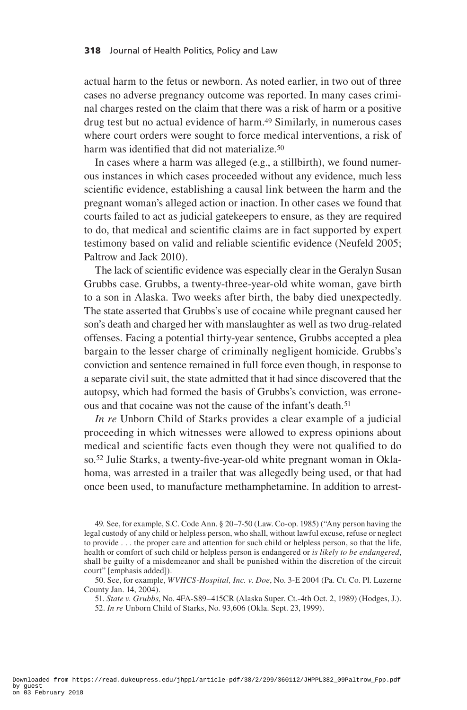actual harm to the fetus or newborn. As noted earlier, in two out of three cases no adverse pregnancy outcome was reported. In many cases criminal charges rested on the claim that there was a risk of harm or a positive drug test but no actual evidence of harm.<sup>49</sup> Similarly, in numerous cases where court orders were sought to force medical interventions, a risk of harm was identified that did not materialize.<sup>50</sup>

In cases where a harm was alleged (e.g., a stillbirth), we found numerous instances in which cases proceeded without any evidence, much less scientific evidence, establishing a causal link between the harm and the pregnant woman's alleged action or inaction. In other cases we found that courts failed to act as judicial gatekeepers to ensure, as they are required to do, that medical and scientific claims are in fact supported by expert testimony based on valid and reliable scientific evidence (Neufeld 2005; Paltrow and Jack 2010).

The lack of scientific evidence was especially clear in the Geralyn Susan Grubbs case. Grubbs, a twenty-three-year-old white woman, gave birth to a son in Alaska. Two weeks after birth, the baby died unexpectedly. The state asserted that Grubbs's use of cocaine while pregnant caused her son's death and charged her with manslaughter as well as two drug-related offenses. Facing a potential thirty-year sentence, Grubbs accepted a plea bargain to the lesser charge of criminally negligent homicide. Grubbs's conviction and sentence remained in full force even though, in response to a separate civil suit, the state admitted that it had since discovered that the autopsy, which had formed the basis of Grubbs's conviction, was erroneous and that cocaine was not the cause of the infant's death.<sup>51</sup>

*In re* Unborn Child of Starks provides a clear example of a judicial proceeding in which witnesses were allowed to express opinions about medical and scientific facts even though they were not qualified to do so.52 Julie Starks, a twenty-five-year-old white pregnant woman in Oklahoma, was arrested in a trailer that was allegedly being used, or that had once been used, to manufacture methamphetamine. In addition to arrest-

<sup>49.</sup> See, for example, S.C. Code Ann. § 20–7-50 (Law. Co-op. 1985) ("Any person having the legal custody of any child or helpless person, who shall, without lawful excuse, refuse or neglect to provide . . . the proper care and attention for such child or helpless person, so that the life, health or comfort of such child or helpless person is endangered or *is likely to be endangered*, shall be guilty of a misdemeanor and shall be punished within the discretion of the circuit court" [emphasis added]).

<sup>50.</sup> See, for example, *WVHCS-Hospital, Inc. v. Doe*, No. 3-E 2004 (Pa. Ct. Co. Pl. Luzerne County Jan. 14, 2004).

<sup>51.</sup> *State v. Grubbs*, No. 4FA-S89–415CR (Alaska Super. Ct.-4th Oct. 2, 1989) (Hodges, J.). 52. *In re* Unborn Child of Starks, No. 93,606 (Okla. Sept. 23, 1999).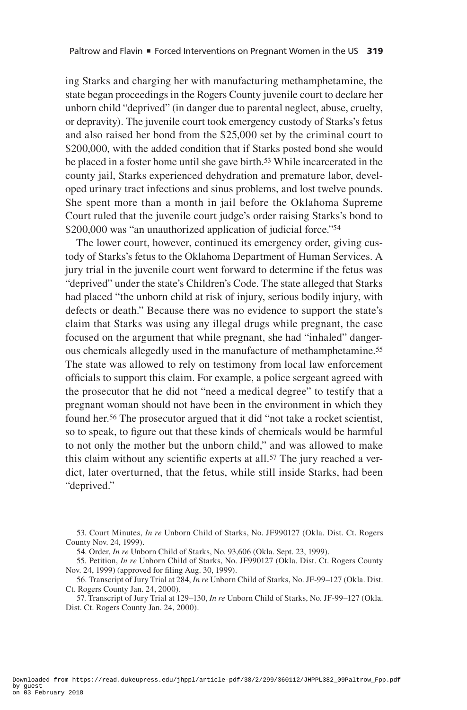ing Starks and charging her with manufacturing methamphetamine, the state began proceedings in the Rogers County juvenile court to declare her unborn child "deprived" (in danger due to parental neglect, abuse, cruelty, or depravity). The juvenile court took emergency custody of Starks's fetus and also raised her bond from the \$25,000 set by the criminal court to \$200,000, with the added condition that if Starks posted bond she would be placed in a foster home until she gave birth.53 While incarcerated in the county jail, Starks experienced dehydration and premature labor, developed urinary tract infections and sinus problems, and lost twelve pounds. She spent more than a month in jail before the Oklahoma Supreme Court ruled that the juvenile court judge's order raising Starks's bond to \$200,000 was "an unauthorized application of judicial force."<sup>54</sup>

The lower court, however, continued its emergency order, giving custody of Starks's fetus to the Oklahoma Department of Human Services. A jury trial in the juvenile court went forward to determine if the fetus was "deprived" under the state's Children's Code. The state alleged that Starks had placed "the unborn child at risk of injury, serious bodily injury, with defects or death." Because there was no evidence to support the state's claim that Starks was using any illegal drugs while pregnant, the case focused on the argument that while pregnant, she had "inhaled" dangerous chemicals allegedly used in the manufacture of methamphetamine.55 The state was allowed to rely on testimony from local law enforcement officials to support this claim. For example, a police sergeant agreed with the prosecutor that he did not "need a medical degree" to testify that a pregnant woman should not have been in the environment in which they found her.56 The prosecutor argued that it did "not take a rocket scientist, so to speak, to figure out that these kinds of chemicals would be harmful to not only the mother but the unborn child," and was allowed to make this claim without any scientific experts at all.<sup>57</sup> The jury reached a verdict, later overturned, that the fetus, while still inside Starks, had been "deprived."

54. Order, *In re* Unborn Child of Starks, No. 93,606 (Okla. Sept. 23, 1999).

55. Petition, *In re* Unborn Child of Starks, No. JF990127 (Okla. Dist. Ct. Rogers County Nov. 24, 1999) (approved for filing Aug. 30, 1999).

56. Transcript of Jury Trial at 284, *In re* Unborn Child of Starks, No. JF-99–127 (Okla. Dist. Ct. Rogers County Jan. 24, 2000).

57. Transcript of Jury Trial at 129–130, *In re* Unborn Child of Starks, No. JF-99–127 (Okla. Dist. Ct. Rogers County Jan. 24, 2000).

<sup>53.</sup> Court Minutes, *In re* Unborn Child of Starks, No. JF990127 (Okla. Dist. Ct. Rogers County Nov. 24, 1999).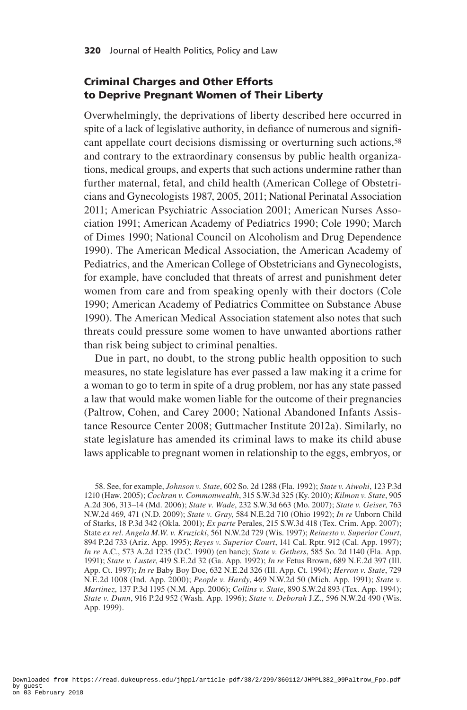## Criminal Charges and Other Efforts to Deprive Pregnant Women of Their Liberty

Overwhelmingly, the deprivations of liberty described here occurred in spite of a lack of legislative authority, in defiance of numerous and significant appellate court decisions dismissing or overturning such actions,<sup>58</sup> and contrary to the extraordinary consensus by public health organizations, medical groups, and experts that such actions undermine rather than further maternal, fetal, and child health (American College of Obstetricians and Gynecologists 1987, 2005, 2011; National Perinatal Association 2011; American Psychiatric Association 2001; American Nurses Association 1991; American Academy of Pediatrics 1990; Cole 1990; March of Dimes 1990; National Council on Alcoholism and Drug Dependence 1990). The American Medical Association, the American Academy of Pediatrics, and the American College of Obstetricians and Gynecologists, for example, have concluded that threats of arrest and punishment deter women from care and from speaking openly with their doctors (Cole 1990; American Academy of Pediatrics Committee on Substance Abuse 1990). The American Medical Association statement also notes that such threats could pressure some women to have unwanted abortions rather than risk being subject to criminal penalties.

Due in part, no doubt, to the strong public health opposition to such measures, no state legislature has ever passed a law making it a crime for a woman to go to term in spite of a drug problem, nor has any state passed a law that would make women liable for the outcome of their pregnancies (Paltrow, Cohen, and Carey 2000; National Abandoned Infants Assistance Resource Center 2008; Guttmacher Institute 2012a). Similarly, no state legislature has amended its criminal laws to make its child abuse laws applicable to pregnant women in relationship to the eggs, embryos, or

58. See, for example, *Johnson v. State*, 602 So. 2d 1288 (Fla. 1992); *State v. Aiwohi*, 123 P.3d 1210 (Haw. 2005); *Cochran v. Commonwealth*, 315 S.W.3d 325 (Ky. 2010); *Kilmon v. State*, 905 A.2d 306, 313–14 (Md. 2006); *State v. Wade*, 232 S.W.3d 663 (Mo. 2007); *State v. Geiser*, 763 N.W.2d 469, 471 (N.D. 2009); *State v. Gray*, 584 N.E.2d 710 (Ohio 1992); *In re* Unborn Child of Starks, 18 P.3d 342 (Okla. 2001); *Ex parte* Perales, 215 S.W.3d 418 (Tex. Crim. App. 2007); State *ex rel. Angela M.W. v. Kruzicki*, 561 N.W.2d 729 (Wis. 1997); *Reinesto v. Superior Court*, 894 P.2d 733 (Ariz. App. 1995); *Reyes v. Superior Court*, 141 Cal. Rptr. 912 (Cal. App. 1997); *In re* A.C., 573 A.2d 1235 (D.C. 1990) (en banc); *State v. Gethers*, 585 So. 2d 1140 (Fla. App. 1991); *State v. Luster*, 419 S.E.2d 32 (Ga. App. 1992); *In re* Fetus Brown, 689 N.E.2d 397 (Ill. App. Ct. 1997); *In re* Baby Boy Doe, 632 N.E.2d 326 (Ill. App. Ct. 1994); *Herron v. State*, 729 N.E.2d 1008 (Ind. App. 2000); *People v. Hardy*, 469 N.W.2d 50 (Mich. App. 1991); *State v. Martinez*, 137 P.3d 1195 (N.M. App. 2006); *Collins v. State*, 890 S.W.2d 893 (Tex. App. 1994); *State v. Dunn*, 916 P.2d 952 (Wash. App. 1996); *State v. Deborah* J.Z., 596 N.W.2d 490 (Wis. App. 1999).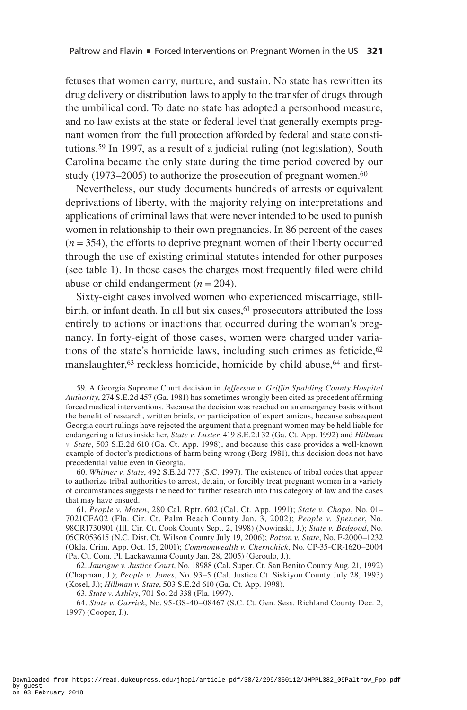fetuses that women carry, nurture, and sustain. No state has rewritten its drug delivery or distribution laws to apply to the transfer of drugs through the umbilical cord. To date no state has adopted a personhood measure, and no law exists at the state or federal level that generally exempts pregnant women from the full protection afforded by federal and state constitutions.59 In 1997, as a result of a judicial ruling (not legislation), South Carolina became the only state during the time period covered by our study  $(1973–2005)$  to authorize the prosecution of pregnant women.<sup>60</sup>

Nevertheless, our study documents hundreds of arrests or equivalent deprivations of liberty, with the majority relying on interpretations and applications of criminal laws that were never intended to be used to punish women in relationship to their own pregnancies. In 86 percent of the cases  $(n = 354)$ , the efforts to deprive pregnant women of their liberty occurred through the use of existing criminal statutes intended for other purposes (see table 1). In those cases the charges most frequently filed were child abuse or child endangerment  $(n = 204)$ .

Sixty-eight cases involved women who experienced miscarriage, stillbirth, or infant death. In all but six cases,<sup>61</sup> prosecutors attributed the loss entirely to actions or inactions that occurred during the woman's pregnancy. In forty-eight of those cases, women were charged under variations of the state's homicide laws, including such crimes as feticide,62 manslaughter,<sup>63</sup> reckless homicide, homicide by child abuse,<sup>64</sup> and first-

60. *Whitner v. State*, 492 S.E.2d 777 (S.C. 1997). The existence of tribal codes that appear to authorize tribal authorities to arrest, detain, or forcibly treat pregnant women in a variety of circumstances suggests the need for further research into this category of law and the cases that may have ensued.

61. *People v. Moten*, 280 Cal. Rptr. 602 (Cal. Ct. App. 1991); *State v. Chapa*, No. 01– 7021CFA02 (Fla. Cir. Ct. Palm Beach County Jan. 3, 2002); *People v. Spencer*, No. 98CR1730901 (Ill. Cir. Ct. Cook County Sept. 2, 1998) (Nowinski, J.); *State v. Bedgood*, No. 05CR053615 (N.C. Dist. Ct. Wilson County July 19, 2006); *Patton v. State*, No. F-2000–1232 (Okla. Crim. App. Oct. 15, 2001); *Commonwealth v. Chernchick*, No. CP-35-CR-1620–2004 (Pa. Ct. Com. Pl. Lackawanna County Jan. 28, 2005) (Geroulo, J.).

62. *Jaurigue v. Justice Court*, No. 18988 (Cal. Super. Ct. San Benito County Aug. 21, 1992) (Chapman, J.); *People v. Jones*, No. 93–5 (Cal. Justice Ct. Siskiyou County July 28, 1993) (Kosel, J.); *Hillman v. State*, 503 S.E.2d 610 (Ga. Ct. App. 1998).

63. *State v. Ashley*, 701 So. 2d 338 (Fla. 1997).

64. *State v. Garrick*, No. 95-GS-40–08467 (S.C. Ct. Gen. Sess. Richland County Dec. 2, 1997) (Cooper, J.).

<sup>59.</sup> A Georgia Supreme Court decision in *Jefferson v. Griffin Spalding County Hospital Authority*, 274 S.E.2d 457 (Ga. 1981) has sometimes wrongly been cited as precedent affirming forced medical interventions. Because the decision was reached on an emergency basis without the benefit of research, written briefs, or participation of expert amicus, because subsequent Georgia court rulings have rejected the argument that a pregnant women may be held liable for endangering a fetus inside her, *State v. Luster*, 419 S.E.2d 32 (Ga. Ct. App. 1992) and *Hillman v. State*, 503 S.E.2d 610 (Ga. Ct. App. 1998), and because this case provides a well-known example of doctor's predictions of harm being wrong (Berg 1981), this decision does not have precedential value even in Georgia.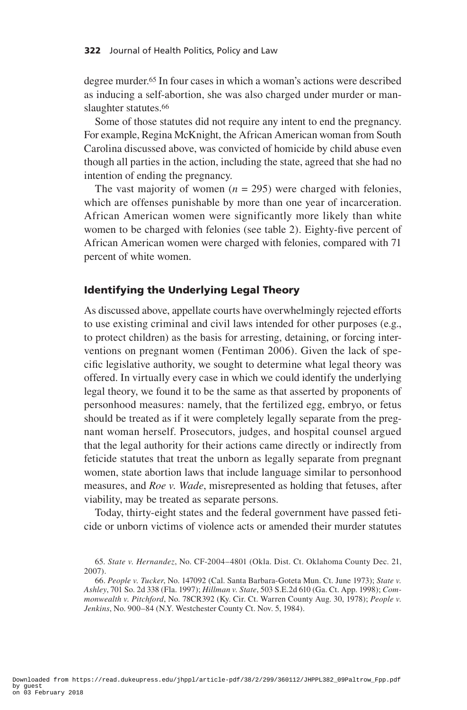degree murder.65 In four cases in which a woman's actions were described as inducing a self-abortion, she was also charged under murder or manslaughter statutes.<sup>66</sup>

Some of those statutes did not require any intent to end the pregnancy. For example, Regina McKnight, the African American woman from South Carolina discussed above, was convicted of homicide by child abuse even though all parties in the action, including the state, agreed that she had no intention of ending the pregnancy.

The vast majority of women  $(n = 295)$  were charged with felonies, which are offenses punishable by more than one year of incarceration. African American women were significantly more likely than white women to be charged with felonies (see table 2). Eighty-five percent of African American women were charged with felonies, compared with 71 percent of white women.

## Identifying the Underlying Legal Theory

As discussed above, appellate courts have overwhelmingly rejected efforts to use existing criminal and civil laws intended for other purposes (e.g., to protect children) as the basis for arresting, detaining, or forcing interventions on pregnant women (Fentiman 2006). Given the lack of specific legislative authority, we sought to determine what legal theory was offered. In virtually every case in which we could identify the underlying legal theory, we found it to be the same as that asserted by proponents of personhood measures: namely, that the fertilized egg, embryo, or fetus should be treated as if it were completely legally separate from the pregnant woman herself. Prosecutors, judges, and hospital counsel argued that the legal authority for their actions came directly or indirectly from feticide statutes that treat the unborn as legally separate from pregnant women, state abortion laws that include language similar to personhood measures, and *Roe v. Wade*, misrepresented as holding that fetuses, after viability, may be treated as separate persons.

Today, thirty-eight states and the federal government have passed feticide or unborn victims of violence acts or amended their murder statutes

<sup>65.</sup> *State v. Hernandez*, No. CF-2004–4801 (Okla. Dist. Ct. Oklahoma County Dec. 21, 2007).

<sup>66.</sup> *People v. Tucker*, No. 147092 (Cal. Santa Barbara-Goteta Mun. Ct. June 1973); *State v. Ashley*, 701 So. 2d 338 (Fla. 1997); *Hillman v. State*, 503 S.E.2d 610 (Ga. Ct. App. 1998); *Commonwealth v. Pitchford*, No. 78CR392 (Ky. Cir. Ct. Warren County Aug. 30, 1978); *People v. Jenkins*, No. 900–84 (N.Y. Westchester County Ct. Nov. 5, 1984).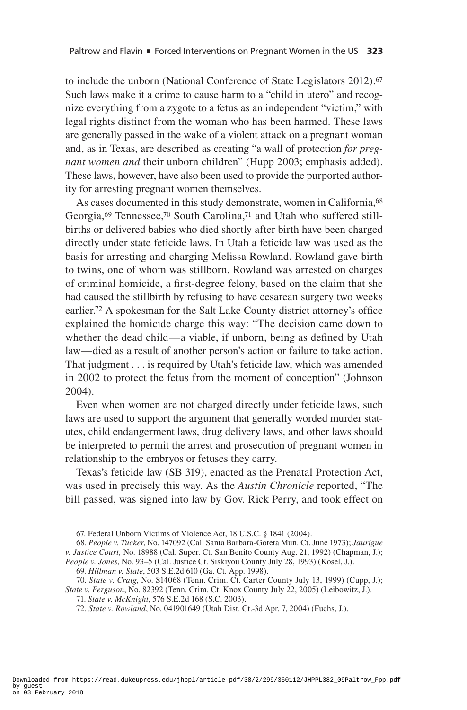to include the unborn (National Conference of State Legislators 2012).<sup>67</sup> Such laws make it a crime to cause harm to a "child in utero" and recognize everything from a zygote to a fetus as an independent "victim," with legal rights distinct from the woman who has been harmed. These laws are generally passed in the wake of a violent attack on a pregnant woman and, as in Texas, are described as creating "a wall of protection *for pregnant women and* their unborn children" (Hupp 2003; emphasis added). These laws, however, have also been used to provide the purported authority for arresting pregnant women themselves.

As cases documented in this study demonstrate, women in California, 68 Georgia,<sup>69</sup> Tennessee,<sup>70</sup> South Carolina,<sup>71</sup> and Utah who suffered stillbirths or delivered babies who died shortly after birth have been charged directly under state feticide laws. In Utah a feticide law was used as the basis for arresting and charging Melissa Rowland. Rowland gave birth to twins, one of whom was stillborn. Rowland was arrested on charges of criminal homicide, a first-degree felony, based on the claim that she had caused the stillbirth by refusing to have cesarean surgery two weeks earlier.72 A spokesman for the Salt Lake County district attorney's office explained the homicide charge this way: "The decision came down to whether the dead child—a viable, if unborn, being as defined by Utah law—died as a result of another person's action or failure to take action. That judgment . . . is required by Utah's feticide law, which was amended in 2002 to protect the fetus from the moment of conception" (Johnson 2004).

Even when women are not charged directly under feticide laws, such laws are used to support the argument that generally worded murder statutes, child endangerment laws, drug delivery laws, and other laws should be interpreted to permit the arrest and prosecution of pregnant women in relationship to the embryos or fetuses they carry.

Texas's feticide law (SB 319), enacted as the Prenatal Protection Act, was used in precisely this way. As the *Austin Chronicle* reported, "The bill passed, was signed into law by Gov. Rick Perry, and took effect on

<sup>67.</sup> Federal Unborn Victims of Violence Act, 18 U.S.C. § 1841 (2004).

<sup>68.</sup> *People v. Tucker*, No. 147092 (Cal. Santa Barbara-Goteta Mun. Ct. June 1973); *Jaurigue v. Justice Court,* No. 18988 (Cal. Super. Ct. San Benito County Aug. 21, 1992) (Chapman, J.); *People v. Jones*, No. 93–5 (Cal. Justice Ct. Siskiyou County July 28, 1993) (Kosel, J.).

<sup>69.</sup> *Hillman v. State*, 503 S.E.2d 610 (Ga. Ct. App. 1998).

<sup>70.</sup> *State v. Craig*, No. S14068 (Tenn. Crim. Ct. Carter County July 13, 1999) (Cupp, J.); *State v. Ferguson*, No. 82392 (Tenn. Crim. Ct. Knox County July 22, 2005) (Leibowitz, J.). 71. *State v. McKnight*, 576 S.E.2d 168 (S.C. 2003).

<sup>72.</sup> *State v. Rowland*, No. 041901649 (Utah Dist. Ct.-3d Apr. 7, 2004) (Fuchs, J.).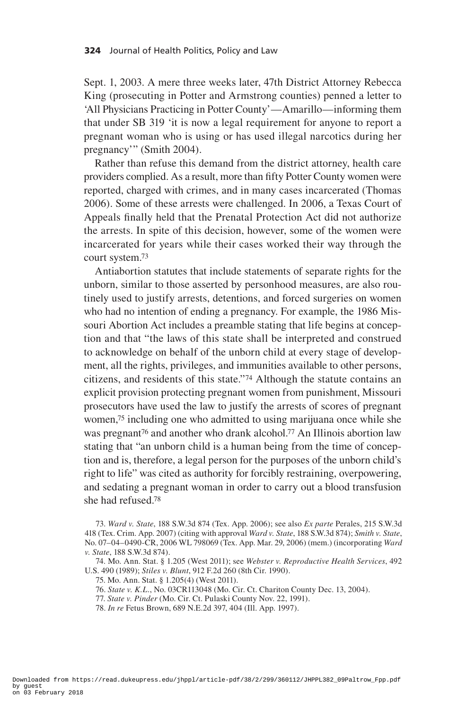Sept. 1, 2003. A mere three weeks later, 47th District Attorney Rebecca King (prosecuting in Potter and Armstrong counties) penned a letter to 'All Physicians Practicing in Potter County'—Amarillo—informing them that under SB 319 'it is now a legal requirement for anyone to report a pregnant woman who is using or has used illegal narcotics during her pregnancy'" (Smith 2004).

Rather than refuse this demand from the district attorney, health care providers complied. As a result, more than fifty Potter County women were reported, charged with crimes, and in many cases incarcerated (Thomas 2006). Some of these arrests were challenged. In 2006, a Texas Court of Appeals finally held that the Prenatal Protection Act did not authorize the arrests. In spite of this decision, however, some of the women were incarcerated for years while their cases worked their way through the court system.73

Antiabortion statutes that include statements of separate rights for the unborn, similar to those asserted by personhood measures, are also routinely used to justify arrests, detentions, and forced surgeries on women who had no intention of ending a pregnancy. For example, the 1986 Missouri Abortion Act includes a preamble stating that life begins at conception and that "the laws of this state shall be interpreted and construed to acknowledge on behalf of the unborn child at every stage of development, all the rights, privileges, and immunities available to other persons, citizens, and residents of this state."74 Although the statute contains an explicit provision protecting pregnant women from punishment, Missouri prosecutors have used the law to justify the arrests of scores of pregnant women,75 including one who admitted to using marijuana once while she was pregnant<sup>76</sup> and another who drank alcohol.<sup>77</sup> An Illinois abortion law stating that "an unborn child is a human being from the time of conception and is, therefore, a legal person for the purposes of the unborn child's right to life" was cited as authority for forcibly restraining, overpowering, and sedating a pregnant woman in order to carry out a blood transfusion she had refused.78

74. Mo. Ann. Stat. § 1.205 (West 2011); see *Webster v. Reproductive Health Services*, 492 U.S. 490 (1989); *Stiles v. Blunt*, 912 F.2d 260 (8th Cir. 1990).

- 75. Mo. Ann. Stat. § 1.205(4) (West 2011).
- 76. *State v. K.L.*, No. 03CR113048 (Mo. Cir. Ct. Chariton County Dec. 13, 2004).
- 77. *State v. Pinder* (Mo. Cir. Ct. Pulaski County Nov. 22, 1991).
- 78. *In re* Fetus Brown, 689 N.E.2d 397, 404 (Ill. App. 1997).

<sup>73.</sup> *Ward v. State*, 188 S.W.3d 874 (Tex. App. 2006); see also *Ex parte* Perales, 215 S.W.3d 418 (Tex. Crim. App. 2007) (citing with approval *Ward v. State*, 188 S.W.3d 874); *Smith v. State*, No. 07–04–0490-CR, 2006 WL 798069 (Tex. App. Mar. 29, 2006) (mem.) (incorporating *Ward v. State*, 188 S.W.3d 874).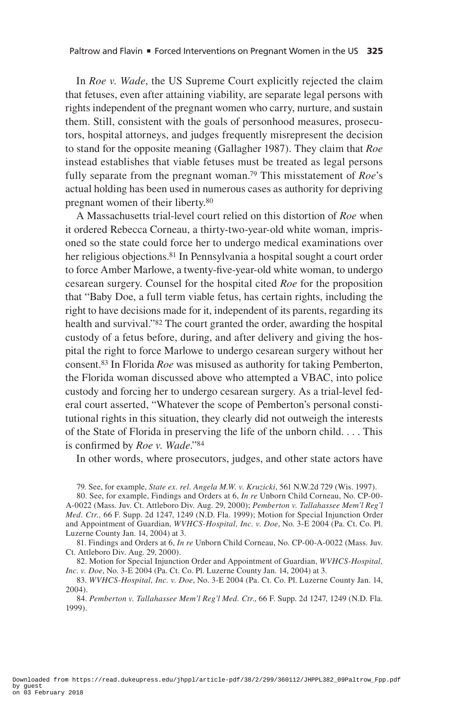In *Roe v. Wade*, the US Supreme Court explicitly rejected the claim that fetuses, even after attaining viability, are separate legal persons with rights independent of the pregnant women who carry, nurture, and sustain them. Still, consistent with the goals of personhood measures, prosecutors, hospital attorneys, and judges frequently misrepresent the decision to stand for the opposite meaning (Gallagher 1987). They claim that *Roe* instead establishes that viable fetuses must be treated as legal persons fully separate from the pregnant woman.79 This misstatement of *Roe*'s actual holding has been used in numerous cases as authority for depriving pregnant women of their liberty.80

A Massachusetts trial-level court relied on this distortion of *Roe* when it ordered Rebecca Corneau, a thirty-two-year-old white woman, imprisoned so the state could force her to undergo medical examinations over her religious objections.<sup>81</sup> In Pennsylvania a hospital sought a court order to force Amber Marlowe, a twenty-five-year-old white woman, to undergo cesarean surgery. Counsel for the hospital cited *Roe* for the proposition that "Baby Doe, a full term viable fetus, has certain rights, including the right to have decisions made for it, independent of its parents, regarding its health and survival."82 The court granted the order, awarding the hospital custody of a fetus before, during, and after delivery and giving the hospital the right to force Marlowe to undergo cesarean surgery without her consent.83 In Florida *Roe* was misused as authority for taking Pemberton, the Florida woman discussed above who attempted a VBAC, into police custody and forcing her to undergo cesarean surgery. As a trial-level federal court asserted, "Whatever the scope of Pemberton's personal constitutional rights in this situation, they clearly did not outweigh the interests of the State of Florida in preserving the life of the unborn child. . . . This is confirmed by *Roe v. Wade*."84

In other words, where prosecutors, judges, and other state actors have

79. See, for example, *State ex. rel. Angela M.W. v. Kruzicki*, 561 N.W.2d 729 (Wis. 1997).

80. See, for example, Findings and Orders at 6, *In re* Unborn Child Corneau, No. CP-00- A-0022 (Mass. Juv. Ct. Attleboro Div. Aug. 29, 2000); *Pemberton v. Tallahassee Mem'l Reg'l Med. Ctr.,* 66 F. Supp. 2d 1247, 1249 (N.D. Fla. 1999); Motion for Special Injunction Order and Appointment of Guardian, *WVHCS-Hospital, Inc. v. Doe*, No. 3-E 2004 (Pa. Ct. Co. Pl. Luzerne County Jan. 14, 2004) at 3.

81. Findings and Orders at 6, *In re* Unborn Child Corneau, No. CP-00-A-0022 (Mass. Juv. Ct. Attleboro Div. Aug. 29, 2000).

82. Motion for Special Injunction Order and Appointment of Guardian, *WVHCS-Hospital, Inc. v. Doe*, No. 3-E 2004 (Pa. Ct. Co. Pl. Luzerne County Jan. 14, 2004) at 3.

83. *WVHCS-Hospital, Inc. v. Doe*, No. 3-E 2004 (Pa. Ct. Co. Pl. Luzerne County Jan. 14, 2004).

84. *Pemberton v. Tallahassee Mem'l Reg'l Med. Ctr*., 66 F. Supp. 2d 1247, 1249 (N.D. Fla. 1999).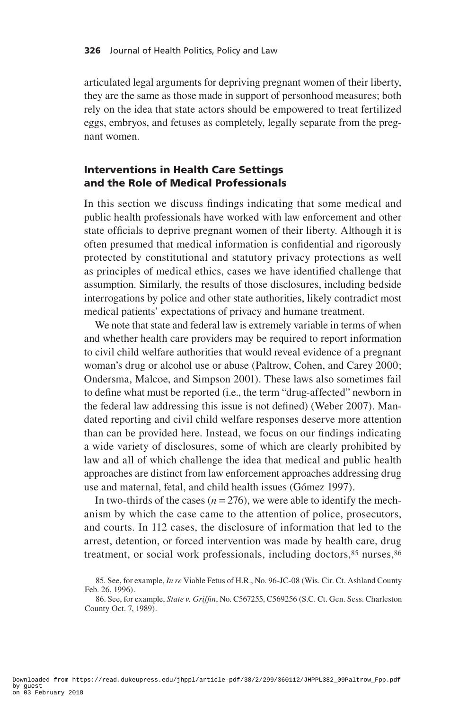articulated legal arguments for depriving pregnant women of their liberty, they are the same as those made in support of personhood measures; both rely on the idea that state actors should be empowered to treat fertilized eggs, embryos, and fetuses as completely, legally separate from the pregnant women.

# Interventions in Health Care Settings and the Role of Medical Professionals

In this section we discuss findings indicating that some medical and public health professionals have worked with law enforcement and other state officials to deprive pregnant women of their liberty. Although it is often presumed that medical information is confidential and rigorously protected by constitutional and statutory privacy protections as well as principles of medical ethics, cases we have identified challenge that assumption. Similarly, the results of those disclosures, including bedside interrogations by police and other state authorities, likely contradict most medical patients' expectations of privacy and humane treatment.

We note that state and federal law is extremely variable in terms of when and whether health care providers may be required to report information to civil child welfare authorities that would reveal evidence of a pregnant woman's drug or alcohol use or abuse (Paltrow, Cohen, and Carey 2000; Ondersma, Malcoe, and Simpson 2001). These laws also sometimes fail to define what must be reported (i.e., the term "drug-affected" newborn in the federal law addressing this issue is not defined) (Weber 2007). Mandated reporting and civil child welfare responses deserve more attention than can be provided here. Instead, we focus on our findings indicating a wide variety of disclosures, some of which are clearly prohibited by law and all of which challenge the idea that medical and public health approaches are distinct from law enforcement approaches addressing drug use and maternal, fetal, and child health issues (Gómez 1997).

In two-thirds of the cases  $(n = 276)$ , we were able to identify the mechanism by which the case came to the attention of police, prosecutors, and courts. In 112 cases, the disclosure of information that led to the arrest, detention, or forced intervention was made by health care, drug treatment, or social work professionals, including doctors, <sup>85</sup> nurses, <sup>86</sup>

<sup>85.</sup> See, for example, *In re* Viable Fetus of H.R., No. 96-JC-08 (Wis. Cir. Ct. Ashland County Feb. 26, 1996).

<sup>86.</sup> See, for example, *State v. Griffin*, No. C567255, C569256 (S.C. Ct. Gen. Sess. Charleston County Oct. 7, 1989).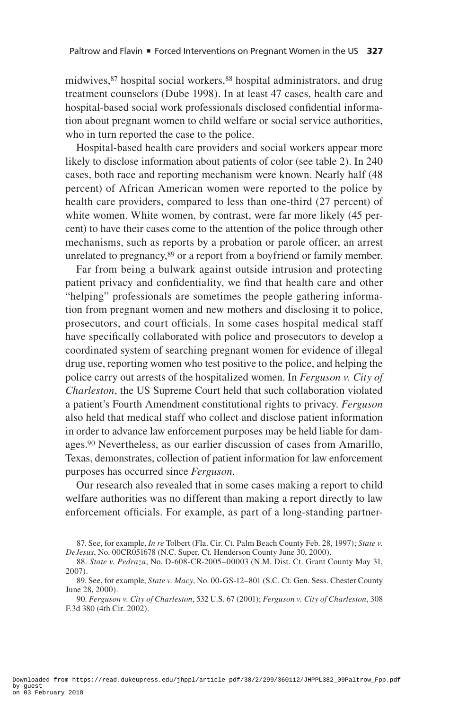midwives,87 hospital social workers,88 hospital administrators, and drug treatment counselors (Dube 1998). In at least 47 cases, health care and hospital-based social work professionals disclosed confidential information about pregnant women to child welfare or social service authorities, who in turn reported the case to the police.

Hospital-based health care providers and social workers appear more likely to disclose information about patients of color (see table 2). In 240 cases, both race and reporting mechanism were known. Nearly half (48 percent) of African American women were reported to the police by health care providers, compared to less than one-third (27 percent) of white women. White women, by contrast, were far more likely (45 percent) to have their cases come to the attention of the police through other mechanisms, such as reports by a probation or parole officer, an arrest unrelated to pregnancy, 89 or a report from a boyfriend or family member.

Far from being a bulwark against outside intrusion and protecting patient privacy and confidentiality, we find that health care and other "helping" professionals are sometimes the people gathering information from pregnant women and new mothers and disclosing it to police, prosecutors, and court officials. In some cases hospital medical staff have specifically collaborated with police and prosecutors to develop a coordinated system of searching pregnant women for evidence of illegal drug use, reporting women who test positive to the police, and helping the police carry out arrests of the hospitalized women. In *Ferguson v. City of Charleston*, the US Supreme Court held that such collaboration violated a patient's Fourth Amendment constitutional rights to privacy. *Ferguson* also held that medical staff who collect and disclose patient information in order to advance law enforcement purposes may be held liable for damages.90 Nevertheless, as our earlier discussion of cases from Amarillo, Texas, demonstrates, collection of patient information for law enforcement purposes has occurred since *Ferguson*.

Our research also revealed that in some cases making a report to child welfare authorities was no different than making a report directly to law enforcement officials. For example, as part of a long-standing partner-

<sup>87.</sup> See, for example, *In re* Tolbert (Fla. Cir. Ct. Palm Beach County Feb. 28, 1997); *State v. DeJesus*, No. 00CR051678 (N.C. Super. Ct. Henderson County June 30, 2000).

<sup>88.</sup> *State v. Pedraza*, No. D-608-CR-2005–00003 (N.M. Dist. Ct. Grant County May 31, 2007).

<sup>89.</sup> See, for example, *State v. Macy*, No. 00-GS-12–801 (S.C. Ct. Gen. Sess. Chester County June 28, 2000).

<sup>90.</sup> *Ferguson v. City of Charleston*, 532 U.S. 67 (2001); *Ferguson v. City of Charleston*, 308 F.3d 380 (4th Cir. 2002).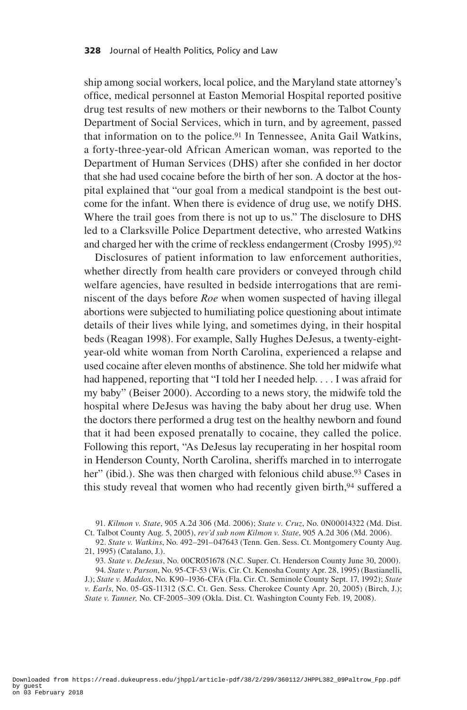ship among social workers, local police, and the Maryland state attorney's office, medical personnel at Easton Memorial Hospital reported positive drug test results of new mothers or their newborns to the Talbot County Department of Social Services, which in turn, and by agreement, passed that information on to the police.<sup>91</sup> In Tennessee, Anita Gail Watkins, a forty-three-year-old African American woman, was reported to the Department of Human Services (DHS) after she confided in her doctor that she had used cocaine before the birth of her son. A doctor at the hospital explained that "our goal from a medical standpoint is the best outcome for the infant. When there is evidence of drug use, we notify DHS. Where the trail goes from there is not up to us." The disclosure to DHS led to a Clarksville Police Department detective, who arrested Watkins and charged her with the crime of reckless endangerment (Crosby 1995).<sup>92</sup>

Disclosures of patient information to law enforcement authorities, whether directly from health care providers or conveyed through child welfare agencies, have resulted in bedside interrogations that are reminiscent of the days before *Roe* when women suspected of having illegal abortions were subjected to humiliating police questioning about intimate details of their lives while lying, and sometimes dying, in their hospital beds (Reagan 1998). For example, Sally Hughes DeJesus, a twenty-eightyear-old white woman from North Carolina, experienced a relapse and used cocaine after eleven months of abstinence. She told her midwife what had happened, reporting that "I told her I needed help. . . . I was afraid for my baby" (Beiser 2000). According to a news story, the midwife told the hospital where DeJesus was having the baby about her drug use. When the doctors there performed a drug test on the healthy newborn and found that it had been exposed prenatally to cocaine, they called the police. Following this report, "As DeJesus lay recuperating in her hospital room in Henderson County, North Carolina, sheriffs marched in to interrogate her" (ibid.). She was then charged with felonious child abuse.<sup>93</sup> Cases in this study reveal that women who had recently given birth, <sup>94</sup> suffered a

91. *Kilmon v. State*, 905 A.2d 306 (Md. 2006); *State v. Cruz*, No. 0N00014322 (Md. Dist. Ct. Talbot County Aug. 5, 2005), *rev'd sub nom Kilmon v. State*, 905 A.2d 306 (Md. 2006).

92. *State v. Watkins*, No. 492–291–047643 (Tenn. Gen. Sess. Ct. Montgomery County Aug. 21, 1995) (Catalano, J.).

93. *State v. DeJesus*, No. 00CR051678 (N.C. Super. Ct. Henderson County June 30, 2000). 94. *State v. Parson*, No. 95-CF-53 (Wis. Cir. Ct. Kenosha County Apr. 28, 1995) (Bastianelli, J.); *State v. Maddox*, No. K90–1936-CFA (Fla. Cir. Ct. Seminole County Sept. 17, 1992); *State v. Earls*, No. 05-GS-11312 (S.C. Ct. Gen. Sess. Cherokee County Apr. 20, 2005) (Birch, J.); *State v. Tanner,* No. CF-2005–309 (Okla. Dist. Ct. Washington County Feb. 19, 2008).

Downloaded from https://read.dukeupress.edu/jhppl/article-pdf/38/2/299/360112/JHPPL382\_09Paltrow\_Fpp.pdf by guest on 03 February 2018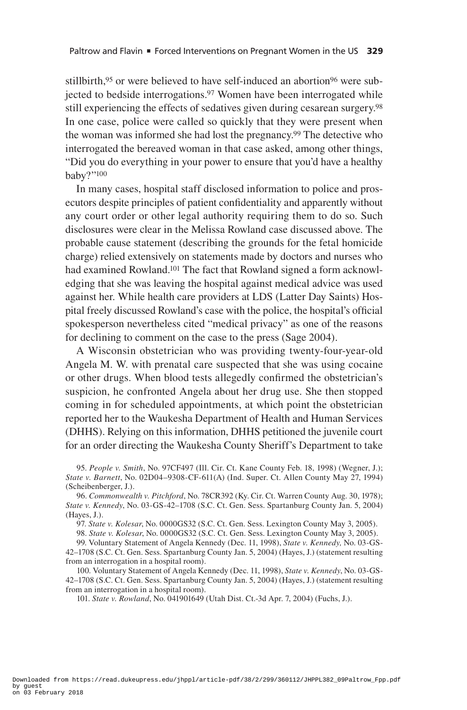stillbirth,<sup>95</sup> or were believed to have self-induced an abortion<sup>96</sup> were subjected to bedside interrogations.<sup>97</sup> Women have been interrogated while still experiencing the effects of sedatives given during cesarean surgery.98 In one case, police were called so quickly that they were present when the woman was informed she had lost the pregnancy.99 The detective who interrogated the bereaved woman in that case asked, among other things, "Did you do everything in your power to ensure that you'd have a healthy baby?"100

In many cases, hospital staff disclosed information to police and prosecutors despite principles of patient confidentiality and apparently without any court order or other legal authority requiring them to do so. Such disclosures were clear in the Melissa Rowland case discussed above. The probable cause statement (describing the grounds for the fetal homicide charge) relied extensively on statements made by doctors and nurses who had examined Rowland.<sup>101</sup> The fact that Rowland signed a form acknowledging that she was leaving the hospital against medical advice was used against her. While health care providers at LDS (Latter Day Saints) Hospital freely discussed Rowland's case with the police, the hospital's official spokesperson nevertheless cited "medical privacy" as one of the reasons for declining to comment on the case to the press (Sage 2004).

A Wisconsin obstetrician who was providing twenty-four-year-old Angela M. W. with prenatal care suspected that she was using cocaine or other drugs. When blood tests allegedly confirmed the obstetrician's suspicion, he confronted Angela about her drug use. She then stopped coming in for scheduled appointments, at which point the obstetrician reported her to the Waukesha Department of Health and Human Services (DHHS). Relying on this information, DHHS petitioned the juvenile court for an order directing the Waukesha County Sheriff's Department to take

97. *State v. Kolesar*, No. 0000GS32 (S.C. Ct. Gen. Sess. Lexington County May 3, 2005).

98. *State v. Kolesar*, No. 0000GS32 (S.C. Ct. Gen. Sess. Lexington County May 3, 2005).

99. Voluntary Statement of Angela Kennedy (Dec. 11, 1998), *State v. Kennedy,* No. 03-GS-42–1708 (S.C. Ct. Gen. Sess. Spartanburg County Jan. 5, 2004) (Hayes, J.) (statement resulting from an interrogation in a hospital room).

100. Voluntary Statement of Angela Kennedy (Dec. 11, 1998), *State v. Kennedy*, No. 03-GS-42–1708 (S.C. Ct. Gen. Sess. Spartanburg County Jan. 5, 2004) (Hayes, J.) (statement resulting from an interrogation in a hospital room).

101. *State v. Rowland*, No. 041901649 (Utah Dist. Ct.-3d Apr. 7, 2004) (Fuchs, J.).

<sup>95.</sup> *People v. Smith*, No. 97CF497 (Ill. Cir. Ct. Kane County Feb. 18, 1998) (Wegner, J.); *State v. Barnett*, No. 02D04–9308-CF-611(A) (Ind. Super. Ct. Allen County May 27, 1994) (Scheibenberger, J.).

<sup>96.</sup> *Commonwealth v. Pitchford*, No. 78CR392 (Ky. Cir. Ct. Warren County Aug. 30, 1978); *State v. Kennedy*, No. 03-GS-42–1708 (S.C. Ct. Gen. Sess. Spartanburg County Jan. 5, 2004) (Hayes, J.).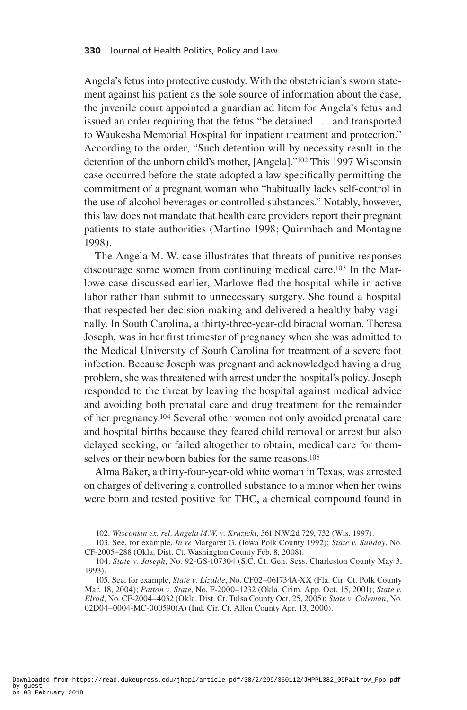Angela's fetus into protective custody. With the obstetrician's sworn statement against his patient as the sole source of information about the case, the juvenile court appointed a guardian ad litem for Angela's fetus and issued an order requiring that the fetus "be detained . . . and transported to Waukesha Memorial Hospital for inpatient treatment and protection." According to the order, "Such detention will by necessity result in the detention of the unborn child's mother, [Angela]."102 This 1997 Wisconsin case occurred before the state adopted a law specifically permitting the commitment of a pregnant woman who "habitually lacks self-control in the use of alcohol beverages or controlled substances." Notably, however, this law does not mandate that health care providers report their pregnant patients to state authorities (Martino 1998; Quirmbach and Montagne 1998).

The Angela M. W. case illustrates that threats of punitive responses discourage some women from continuing medical care.103 In the Marlowe case discussed earlier, Marlowe fled the hospital while in active labor rather than submit to unnecessary surgery. She found a hospital that respected her decision making and delivered a healthy baby vaginally. In South Carolina, a thirty-three-year-old biracial woman, Theresa Joseph, was in her first trimester of pregnancy when she was admitted to the Medical University of South Carolina for treatment of a severe foot infection. Because Joseph was pregnant and acknowledged having a drug problem, she was threatened with arrest under the hospital's policy. Joseph responded to the threat by leaving the hospital against medical advice and avoiding both prenatal care and drug treatment for the remainder of her pregnancy.104 Several other women not only avoided prenatal care and hospital births because they feared child removal or arrest but also delayed seeking, or failed altogether to obtain, medical care for themselves or their newborn babies for the same reasons.105

Alma Baker, a thirty-four-year-old white woman in Texas, was arrested on charges of delivering a controlled substance to a minor when her twins were born and tested positive for THC, a chemical compound found in

<sup>102.</sup> *Wisconsin ex. rel. Angela M.W. v. Kruzicki*, 561 N.W.2d 729, 732 (Wis. 1997).

<sup>103.</sup> See, for example, *In re* Margaret G. (Iowa Polk County 1992); *State v. Sunday*, No. CF-2005–288 (Okla. Dist. Ct. Washington County Feb. 8, 2008).

<sup>104.</sup> *State v. Joseph*, No. 92-GS-107304 (S.C. Ct. Gen. Sess. Charleston County May 3, 1993).

<sup>105.</sup> See, for example, *State v. Lizalde*, No. CF02–061734A-XX (Fla. Cir. Ct. Polk County Mar. 18, 2004); *Patton v. State*, No. F-2000–1232 (Okla. Crim. App. Oct. 15, 2001); *State v. Elrod*, No. CF-2004–4032 (Okla. Dist. Ct. Tulsa County Oct. 25, 2005); *State v. Coleman*, No. 02D04–0004-MC-000590(A) (Ind. Cir. Ct. Allen County Apr. 13, 2000).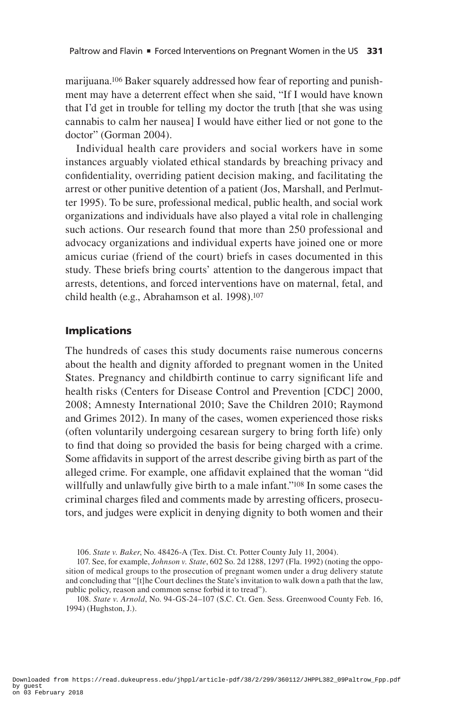marijuana.106 Baker squarely addressed how fear of reporting and punishment may have a deterrent effect when she said, "If I would have known that I'd get in trouble for telling my doctor the truth [that she was using cannabis to calm her nausea] I would have either lied or not gone to the doctor" (Gorman 2004).

Individual health care providers and social workers have in some instances arguably violated ethical standards by breaching privacy and confidentiality, overriding patient decision making, and facilitating the arrest or other punitive detention of a patient (Jos, Marshall, and Perlmutter 1995). To be sure, professional medical, public health, and social work organizations and individuals have also played a vital role in challenging such actions. Our research found that more than 250 professional and advocacy organizations and individual experts have joined one or more amicus curiae (friend of the court) briefs in cases documented in this study. These briefs bring courts' attention to the dangerous impact that arrests, detentions, and forced interventions have on maternal, fetal, and child health (e.g., Abrahamson et al. 1998).107

#### Implications

The hundreds of cases this study documents raise numerous concerns about the health and dignity afforded to pregnant women in the United States. Pregnancy and childbirth continue to carry significant life and health risks (Centers for Disease Control and Prevention [CDC] 2000, 2008; Amnesty International 2010; Save the Children 2010; Raymond and Grimes 2012). In many of the cases, women experienced those risks (often voluntarily undergoing cesarean surgery to bring forth life) only to find that doing so provided the basis for being charged with a crime. Some affidavits in support of the arrest describe giving birth as part of the alleged crime. For example, one affidavit explained that the woman "did willfully and unlawfully give birth to a male infant."108 In some cases the criminal charges filed and comments made by arresting officers, prosecutors, and judges were explicit in denying dignity to both women and their

108. *State v. Arnold*, No. 94-GS-24–107 (S.C. Ct. Gen. Sess. Greenwood County Feb. 16, 1994) (Hughston, J.).

<sup>106.</sup> *State v. Baker*, No. 48426-A (Tex. Dist. Ct. Potter County July 11, 2004).

<sup>107.</sup> See, for example, *Johnson v. State*, 602 So. 2d 1288, 1297 (Fla. 1992) (noting the opposition of medical groups to the prosecution of pregnant women under a drug delivery statute and concluding that "[t]he Court declines the State's invitation to walk down a path that the law, public policy, reason and common sense forbid it to tread").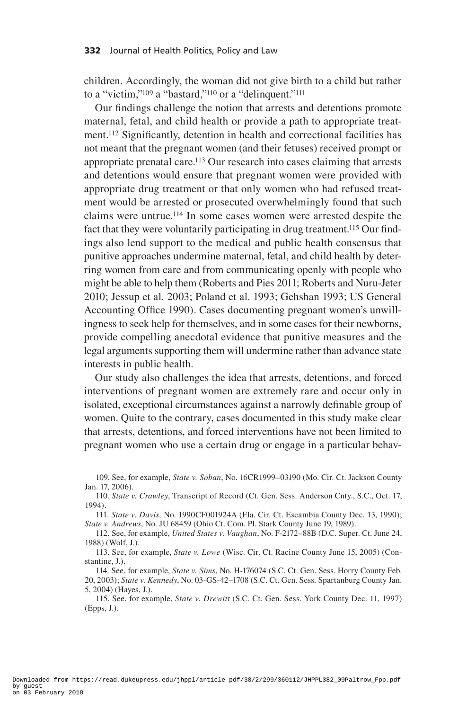children. Accordingly, the woman did not give birth to a child but rather to a "victim,"<sup>109</sup> a "bastard,"<sup>110</sup> or a "delinquent."<sup>111</sup>

Our findings challenge the notion that arrests and detentions promote maternal, fetal, and child health or provide a path to appropriate treatment.112 Significantly, detention in health and correctional facilities has not meant that the pregnant women (and their fetuses) received prompt or appropriate prenatal care.113 Our research into cases claiming that arrests and detentions would ensure that pregnant women were provided with appropriate drug treatment or that only women who had refused treatment would be arrested or prosecuted overwhelmingly found that such claims were untrue.114 In some cases women were arrested despite the fact that they were voluntarily participating in drug treatment.<sup>115</sup> Our findings also lend support to the medical and public health consensus that punitive approaches undermine maternal, fetal, and child health by deterring women from care and from communicating openly with people who might be able to help them (Roberts and Pies 2011; Roberts and Nuru-Jeter 2010; Jessup et al. 2003; Poland et al. 1993; Gehshan 1993; US General Accounting Office 1990). Cases documenting pregnant women's unwillingness to seek help for themselves, and in some cases for their newborns, provide compelling anecdotal evidence that punitive measures and the legal arguments supporting them will undermine rather than advance state interests in public health.

Our study also challenges the idea that arrests, detentions, and forced interventions of pregnant women are extremely rare and occur only in isolated, exceptional circumstances against a narrowly definable group of women. Quite to the contrary, cases documented in this study make clear that arrests, detentions, and forced interventions have not been limited to pregnant women who use a certain drug or engage in a particular behav-

109. See, for example, *State v. Soban*, No. 16CR1999–03190 (Mo. Cir. Ct. Jackson County Jan. 17, 2006).

110. *State v. Crawley*, Transcript of Record (Ct. Gen. Sess. Anderson Cnty., S.C., Oct. 17, 1994).

111. *State v. Davis,* No. 1990CF001924A (Fla. Cir. Ct. Escambia County Dec. 13, 1990); *State v. Andrews*, No. JU 68459 (Ohio Ct. Com. Pl. Stark County June 19, 1989).

112. See, for example, *United States v. Vaughan*, No. F-2172–88B (D.C. Super. Ct. June 24, 1988) (Wolf, J.).

113. See, for example, *State v. Lowe* (Wisc. Cir. Ct. Racine County June 15, 2005) (Constantine, J.).

114. See, for example, *State v. Sims*, No. H-176074 (S.C. Ct. Gen. Sess. Horry County Feb. 20, 2003); *State v. Kennedy*, No. 03-GS-42–1708 (S.C. Ct. Gen. Sess. Spartanburg County Jan. 5, 2004) (Hayes, J.).

115. See, for example, *State v. Drewitt* (S.C. Ct. Gen. Sess. York County Dec. 11, 1997) (Epps, J.).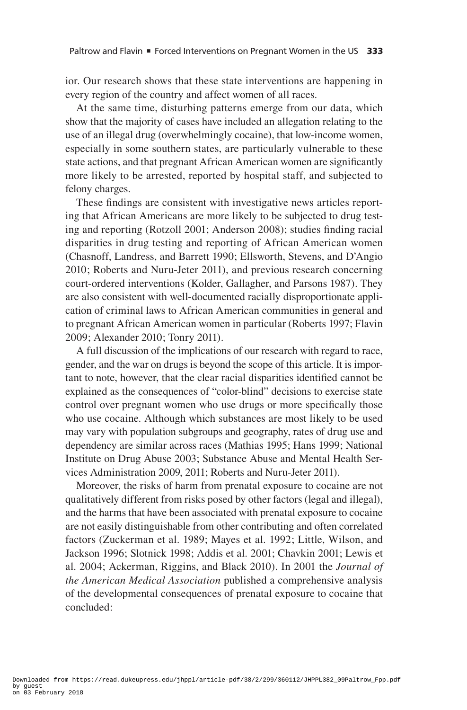ior. Our research shows that these state interventions are happening in every region of the country and affect women of all races.

At the same time, disturbing patterns emerge from our data, which show that the majority of cases have included an allegation relating to the use of an illegal drug (overwhelmingly cocaine), that low-income women, especially in some southern states, are particularly vulnerable to these state actions, and that pregnant African American women are significantly more likely to be arrested, reported by hospital staff, and subjected to felony charges.

These findings are consistent with investigative news articles reporting that African Americans are more likely to be subjected to drug testing and reporting (Rotzoll 2001; Anderson 2008); studies finding racial disparities in drug testing and reporting of African American women (Chasnoff, Landress, and Barrett 1990; Ellsworth, Stevens, and D'Angio 2010; Roberts and Nuru-Jeter 2011), and previous research concerning court-ordered interventions (Kolder, Gallagher, and Parsons 1987). They are also consistent with well-documented racially disproportionate application of criminal laws to African American communities in general and to pregnant African American women in particular (Roberts 1997; Flavin 2009; Alexander 2010; Tonry 2011).

A full discussion of the implications of our research with regard to race, gender, and the war on drugs is beyond the scope of this article. It is important to note, however, that the clear racial disparities identified cannot be explained as the consequences of "color-blind" decisions to exercise state control over pregnant women who use drugs or more specifically those who use cocaine. Although which substances are most likely to be used may vary with population subgroups and geography, rates of drug use and dependency are similar across races (Mathias 1995; Hans 1999; National Institute on Drug Abuse 2003; Substance Abuse and Mental Health Services Administration 2009, 2011; Roberts and Nuru-Jeter 2011).

Moreover, the risks of harm from prenatal exposure to cocaine are not qualitatively different from risks posed by other factors (legal and illegal), and the harms that have been associated with prenatal exposure to cocaine are not easily distinguishable from other contributing and often correlated factors (Zuckerman et al. 1989; Mayes et al. 1992; Little, Wilson, and Jackson 1996; Slotnick 1998; Addis et al. 2001; Chavkin 2001; Lewis et al. 2004; Ackerman, Riggins, and Black 2010). In 2001 the *Journal of the American Medical Association* published a comprehensive analysis of the developmental consequences of prenatal exposure to cocaine that concluded: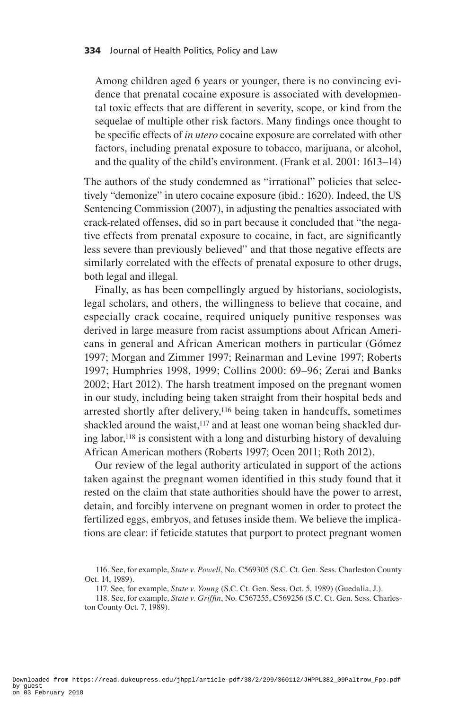Among children aged 6 years or younger, there is no convincing evidence that prenatal cocaine exposure is associated with developmental toxic effects that are different in severity, scope, or kind from the sequelae of multiple other risk factors. Many findings once thought to be specific effects of *in utero* cocaine exposure are correlated with other factors, including prenatal exposure to tobacco, marijuana, or alcohol, and the quality of the child's environment. (Frank et al. 2001: 1613–14)

The authors of the study condemned as "irrational" policies that selectively "demonize" in utero cocaine exposure (ibid.: 1620). Indeed, the US Sentencing Commission (2007), in adjusting the penalties associated with crack-related offenses, did so in part because it concluded that "the negative effects from prenatal exposure to cocaine, in fact, are significantly less severe than previously believed" and that those negative effects are similarly correlated with the effects of prenatal exposure to other drugs, both legal and illegal.

Finally, as has been compellingly argued by historians, sociologists, legal scholars, and others, the willingness to believe that cocaine, and especially crack cocaine, required uniquely punitive responses was derived in large measure from racist assumptions about African Americans in general and African American mothers in particular (Gómez 1997; Morgan and Zimmer 1997; Reinarman and Levine 1997; Roberts 1997; Humphries 1998, 1999; Collins 2000: 69–96; Zerai and Banks 2002; Hart 2012). The harsh treatment imposed on the pregnant women in our study, including being taken straight from their hospital beds and arrested shortly after delivery,<sup>116</sup> being taken in handcuffs, sometimes shackled around the waist,<sup>117</sup> and at least one woman being shackled during labor,118 is consistent with a long and disturbing history of devaluing African American mothers (Roberts 1997; Ocen 2011; Roth 2012).

Our review of the legal authority articulated in support of the actions taken against the pregnant women identified in this study found that it rested on the claim that state authorities should have the power to arrest, detain, and forcibly intervene on pregnant women in order to protect the fertilized eggs, embryos, and fetuses inside them. We believe the implications are clear: if feticide statutes that purport to protect pregnant women

<sup>116.</sup> See, for example, *State v. Powell*, No. C569305 (S.C. Ct. Gen. Sess. Charleston County Oct. 14, 1989).

<sup>117.</sup> See, for example, *State v. Young* (S.C. Ct. Gen. Sess. Oct. 5, 1989) (Guedalia, J.).

<sup>118.</sup> See, for example, *State v. Griffin*, No. C567255, C569256 (S.C. Ct. Gen. Sess. Charleston County Oct. 7, 1989).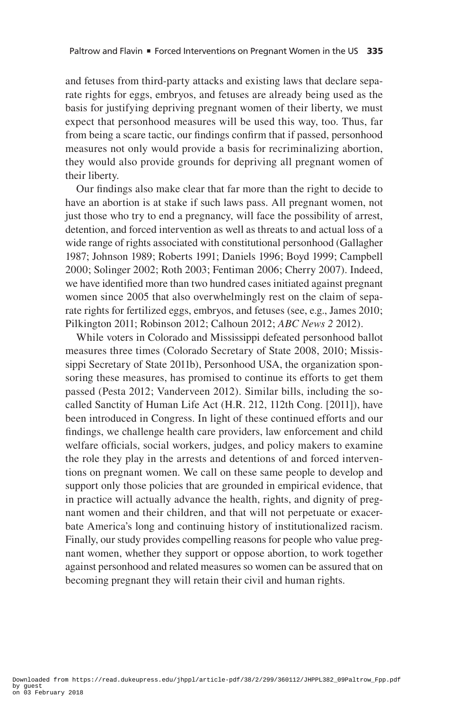and fetuses from third-party attacks and existing laws that declare separate rights for eggs, embryos, and fetuses are already being used as the basis for justifying depriving pregnant women of their liberty, we must expect that personhood measures will be used this way, too. Thus, far from being a scare tactic, our findings confirm that if passed, personhood measures not only would provide a basis for recriminalizing abortion, they would also provide grounds for depriving all pregnant women of their liberty.

Our findings also make clear that far more than the right to decide to have an abortion is at stake if such laws pass. All pregnant women, not just those who try to end a pregnancy, will face the possibility of arrest, detention, and forced intervention as well as threats to and actual loss of a wide range of rights associated with constitutional personhood (Gallagher 1987; Johnson 1989; Roberts 1991; Daniels 1996; Boyd 1999; Campbell 2000; Solinger 2002; Roth 2003; Fentiman 2006; Cherry 2007). Indeed, we have identified more than two hundred cases initiated against pregnant women since 2005 that also overwhelmingly rest on the claim of separate rights for fertilized eggs, embryos, and fetuses (see, e.g., James 2010; Pilkington 2011; Robinson 2012; Calhoun 2012; *ABC News 2* 2012).

While voters in Colorado and Mississippi defeated personhood ballot measures three times (Colorado Secretary of State 2008, 2010; Mississippi Secretary of State 2011b), Personhood USA, the organization sponsoring these measures, has promised to continue its efforts to get them passed (Pesta 2012; Vanderveen 2012). Similar bills, including the socalled Sanctity of Human Life Act (H.R. 212, 112th Cong. [2011]), have been introduced in Congress. In light of these continued efforts and our findings, we challenge health care providers, law enforcement and child welfare officials, social workers, judges, and policy makers to examine the role they play in the arrests and detentions of and forced interventions on pregnant women. We call on these same people to develop and support only those policies that are grounded in empirical evidence, that in practice will actually advance the health, rights, and dignity of pregnant women and their children, and that will not perpetuate or exacerbate America's long and continuing history of institutionalized racism. Finally, our study provides compelling reasons for people who value pregnant women, whether they support or oppose abortion, to work together against personhood and related measures so women can be assured that on becoming pregnant they will retain their civil and human rights.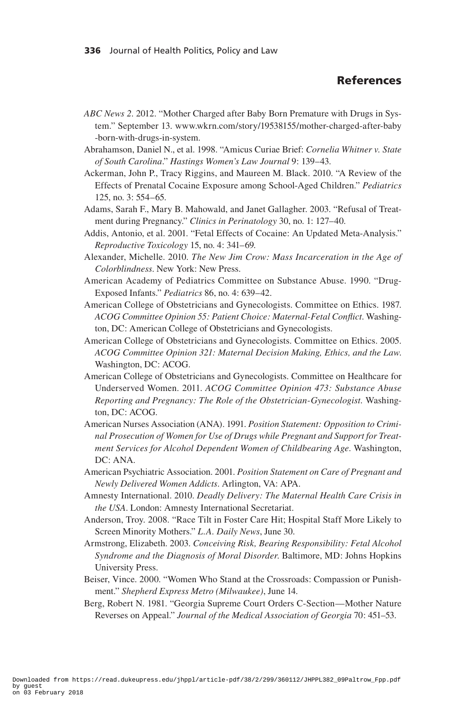## References

- *ABC News 2*. 2012. "Mother Charged after Baby Born Premature with Drugs in System." September 13. www.wkrn.com/story/19538155/mother-charged-after-baby -born-with-drugs-in-system.
- Abrahamson, Daniel N., et al. 1998. "Amicus Curiae Brief: *Cornelia Whitner v. State of South Carolina*." *Hastings Women's Law Journal* 9: 139–43.
- Ackerman, John P., Tracy Riggins, and Maureen M. Black. 2010. "A Review of the Effects of Prenatal Cocaine Exposure among School-Aged Children." *Pediatrics* 125, no. 3: 554–65.
- Adams, Sarah F., Mary B. Mahowald, and Janet Gallagher. 2003. "Refusal of Treatment during Pregnancy." *Clinics in Perinatology* 30, no. 1: 127–40.
- Addis, Antonio, et al. 2001. "Fetal Effects of Cocaine: An Updated Meta-Analysis." *Reproductive Toxicology* 15, no. 4: 341–69.
- Alexander, Michelle. 2010. *The New Jim Crow: Mass Incarceration in the Age of Colorblindness*. New York: New Press.
- American Academy of Pediatrics Committee on Substance Abuse. 1990. "Drug-Exposed Infants." *Pediatrics* 86, no. 4: 639–42.
- American College of Obstetricians and Gynecologists. Committee on Ethics. 1987. *ACOG Committee Opinion 55: Patient Choice: Maternal-Fetal Conflict*. Washington, DC: American College of Obstetricians and Gynecologists.
- American College of Obstetricians and Gynecologists. Committee on Ethics. 2005. *ACOG Committee Opinion 321: Maternal Decision Making, Ethics, and the Law*. Washington, DC: ACOG.
- American College of Obstetricians and Gynecologists. Committee on Healthcare for Underserved Women. 2011. *ACOG Committee Opinion 473: Substance Abuse Reporting and Pregnancy: The Role of the Obstetrician-Gynecologist.* Washington, DC: ACOG.
- American Nurses Association (ANA). 1991. *Position Statement: Opposition to Criminal Prosecution of Women for Use of Drugs while Pregnant and Support for Treatment Services for Alcohol Dependent Women of Childbearing Age*. Washington, DC: ANA.
- American Psychiatric Association. 2001. *Position Statement on Care of Pregnant and Newly Delivered Women Addicts*. Arlington, VA: APA.
- Amnesty International. 2010. *Deadly Delivery: The Maternal Health Care Crisis in the USA*. London: Amnesty International Secretariat.
- Anderson, Troy. 2008. "Race Tilt in Foster Care Hit; Hospital Staff More Likely to Screen Minority Mothers." *L.A. Daily News*, June 30.
- Armstrong, Elizabeth. 2003. *Conceiving Risk, Bearing Responsibility: Fetal Alcohol Syndrome and the Diagnosis of Moral Disorder*. Baltimore, MD: Johns Hopkins University Press.
- Beiser, Vince. 2000. "Women Who Stand at the Crossroads: Compassion or Punishment." *Shepherd Express Metro (Milwaukee)*, June 14.
- Berg, Robert N. 1981. "Georgia Supreme Court Orders C-Section—Mother Nature Reverses on Appeal." *Journal of the Medical Association of Georgia* 70: 451–53.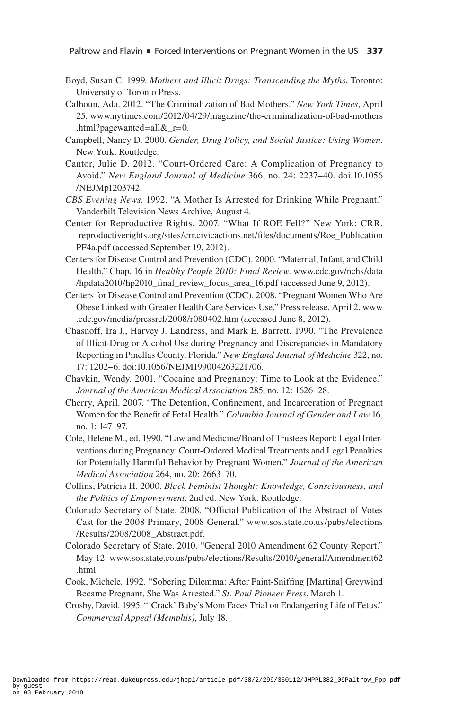- Boyd, Susan C. 1999. *Mothers and Illicit Drugs: Transcending the Myths*. Toronto: University of Toronto Press.
- Calhoun, Ada. 2012. "The Criminalization of Bad Mothers." *New York Times*, April 25. www.nytimes.com/2012/04/29/magazine/the-criminalization-of-bad-mothers .html?pagewanted=all $&r=0$ .
- Campbell, Nancy D. 2000. *Gender, Drug Policy, and Social Justice: Using Women*. New York: Routledge.
- Cantor, Julie D. 2012. "Court-Ordered Care: A Complication of Pregnancy to Avoid." *New England Journal of Medicine* 366, no. 24: 2237–40. doi:10.1056 /NEJMp1203742.
- *CBS Evening News*. 1992. "A Mother Is Arrested for Drinking While Pregnant." Vanderbilt Television News Archive, August 4.
- Center for Reproductive Rights. 2007. "What If ROE Fell?" New York: CRR. reproductiverights.org/sites/crr.civicactions.net/files/documents/Roe\_Publication PF4a.pdf (accessed September 19, 2012).
- Centers for Disease Control and Prevention (CDC). 2000. "Maternal, Infant, and Child Health." Chap. 16 in *Healthy People 2010: Final Review*. www.cdc.gov/nchs/data /hpdata2010/hp2010\_final\_review\_focus\_area\_16.pdf (accessed June 9, 2012).
- Centers for Disease Control and Prevention (CDC). 2008. "Pregnant Women Who Are Obese Linked with Greater Health Care Services Use." Press release, April 2. www .cdc.gov/media/pressrel/2008/r080402.htm (accessed June 8, 2012).
- Chasnoff, Ira J., Harvey J. Landress, and Mark E. Barrett. 1990. "The Prevalence of Illicit-Drug or Alcohol Use during Pregnancy and Discrepancies in Mandatory Reporting in Pinellas County, Florida." *New England Journal of Medicine* 322, no. 17: 1202–6. doi:10.1056/NEJM199004263221706.
- Chavkin, Wendy. 2001. "Cocaine and Pregnancy: Time to Look at the Evidence." *Journal of the American Medical Association* 285, no. 12: 1626–28.
- Cherry, April. 2007. "The Detention, Confinement, and Incarceration of Pregnant Women for the Benefit of Fetal Health." *Columbia Journal of Gender and Law* 16, no. 1: 147–97.
- Cole, Helene M., ed. 1990. "Law and Medicine/Board of Trustees Report: Legal Interventions during Pregnancy: Court-Ordered Medical Treatments and Legal Penalties for Potentially Harmful Behavior by Pregnant Women." *Journal of the American Medical Association* 264, no. 20: 2663–70.
- Collins, Patricia H. 2000. *Black Feminist Thought: Knowledge, Consciousness, and the Politics of Empowerment*. 2nd ed. New York: Routledge.
- Colorado Secretary of State. 2008. "Official Publication of the Abstract of Votes Cast for the 2008 Primary, 2008 General." www.sos.state.co.us/pubs/elections /Results/2008/2008\_Abstract.pdf.
- Colorado Secretary of State. 2010. "General 2010 Amendment 62 County Report." May 12. www.sos.state.co.us/pubs/elections/Results/2010/general/Amendment62 .html.
- Cook, Michele. 1992. "Sobering Dilemma: After Paint-Sniffing [Martina] Greywind Became Pregnant, She Was Arrested." *St. Paul Pioneer Press*, March 1.
- Crosby, David. 1995. "'Crack' Baby's Mom Faces Trial on Endangering Life of Fetus." *Commercial Appeal (Memphis)*, July 18.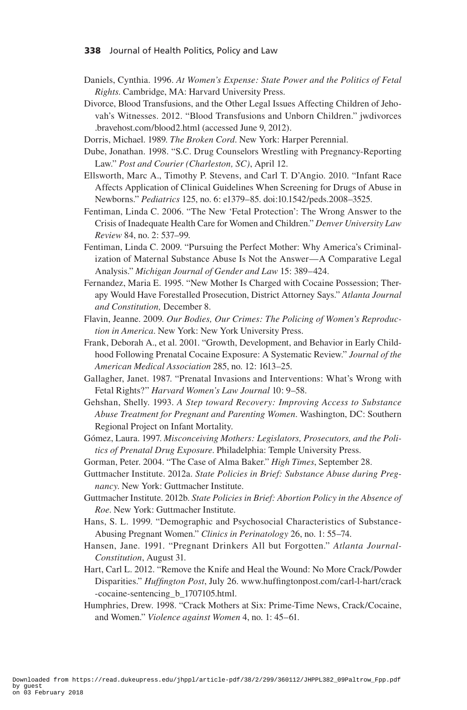- Daniels, Cynthia. 1996. *At Women's Expense: State Power and the Politics of Fetal Rights*. Cambridge, MA: Harvard University Press.
- Divorce, Blood Transfusions, and the Other Legal Issues Affecting Children of Jehovah's Witnesses. 2012. "Blood Transfusions and Unborn Children." jwdivorces .bravehost.com/blood2.html (accessed June 9, 2012).
- Dorris, Michael. 1989. *The Broken Cord*. New York: Harper Perennial.
- Dube, Jonathan. 1998. "S.C. Drug Counselors Wrestling with Pregnancy-Reporting Law." *Post and Courier (Charleston, SC)*, April 12.
- Ellsworth, Marc A., Timothy P. Stevens, and Carl T. D'Angio. 2010. "Infant Race Affects Application of Clinical Guidelines When Screening for Drugs of Abuse in Newborns." *Pediatrics* 125, no. 6: e1379–85. doi:10.1542/peds.2008–3525.
- Fentiman, Linda C. 2006. "The New 'Fetal Protection': The Wrong Answer to the Crisis of Inadequate Health Care for Women and Children." *Denver University Law Review* 84, no. 2: 537–99.
- Fentiman, Linda C. 2009. "Pursuing the Perfect Mother: Why America's Criminalization of Maternal Substance Abuse Is Not the Answer—A Comparative Legal Analysis." *Michigan Journal of Gender and Law* 15: 389–424.
- Fernandez, Maria E. 1995. "New Mother Is Charged with Cocaine Possession; Therapy Would Have Forestalled Prosecution, District Attorney Says." *Atlanta Journal and Constitution,* December 8.
- Flavin, Jeanne. 2009. *Our Bodies, Our Crimes: The Policing of Women's Reproduction in America*. New York: New York University Press.
- Frank, Deborah A., et al. 2001. "Growth, Development, and Behavior in Early Childhood Following Prenatal Cocaine Exposure: A Systematic Review." *Journal of the American Medical Association* 285, no. 12: 1613–25.
- Gallagher, Janet. 1987. "Prenatal Invasions and Interventions: What's Wrong with Fetal Rights?" *Harvard Women's Law Journal* 10: 9–58.
- Gehshan, Shelly. 1993. *A Step toward Recovery: Improving Access to Substance Abuse Treatment for Pregnant and Parenting Women*. Washington, DC: Southern Regional Project on Infant Mortality.
- Gómez, Laura. 1997. *Misconceiving Mothers: Legislators, Prosecutors, and the Politics of Prenatal Drug Exposure*. Philadelphia: Temple University Press.
- Gorman, Peter. 2004. "The Case of Alma Baker." *High Times*, September 28.
- Guttmacher Institute. 2012a. *State Policies in Brief: Substance Abuse during Pregnancy*. New York: Guttmacher Institute.
- Guttmacher Institute. 2012b. *State Policies in Brief: Abortion Policy in the Absence of Roe*. New York: Guttmacher Institute.
- Hans, S. L. 1999. "Demographic and Psychosocial Characteristics of Substance-Abusing Pregnant Women." *Clinics in Perinatology* 26, no. 1: 55–74.
- Hansen, Jane. 1991. "Pregnant Drinkers All but Forgotten." *Atlanta Journal-Constitution*, August 31.
- Hart, Carl L. 2012. "Remove the Knife and Heal the Wound: No More Crack/Powder Disparities." *Huffington Post*, July 26. www.huffingtonpost.com/carl-l-hart/crack -cocaine-sentencing\_b\_1707105.html.
- Humphries, Drew. 1998. "Crack Mothers at Six: Prime-Time News, Crack/Cocaine, and Women." *Violence against Women* 4, no. 1: 45–61.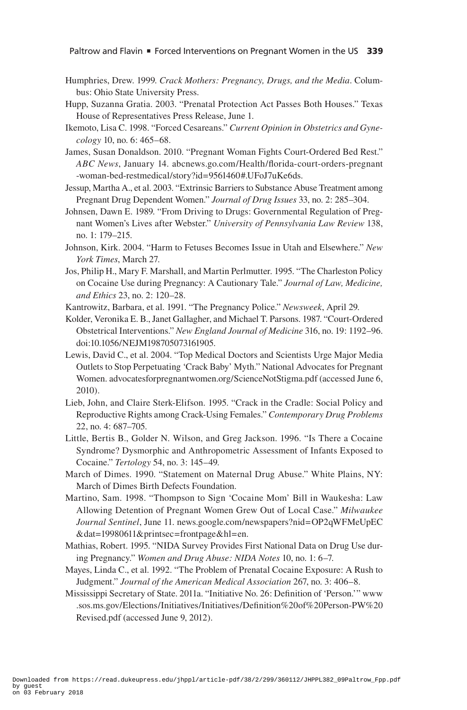- Humphries, Drew. 1999. *Crack Mothers: Pregnancy, Drugs, and the Media*. Columbus: Ohio State University Press.
- Hupp, Suzanna Gratia. 2003. "Prenatal Protection Act Passes Both Houses." Texas House of Representatives Press Release, June 1.
- Ikemoto, Lisa C. 1998. "Forced Cesareans." *Current Opinion in Obstetrics and Gynecology* 10, no. 6: 465–68.
- James, Susan Donaldson. 2010. "Pregnant Woman Fights Court-Ordered Bed Rest." *ABC News*, January 14. abcnews.go.com/Health/florida-court-orders-pregnant -woman-bed-restmedical/story?id=9561460#.UFoJ7uKe6ds.
- Jessup, Martha A., et al. 2003. "Extrinsic Barriers to Substance Abuse Treatment among Pregnant Drug Dependent Women." *Journal of Drug Issues* 33, no. 2: 285–304.
- Johnsen, Dawn E. 1989. "From Driving to Drugs: Governmental Regulation of Pregnant Women's Lives after Webster." *University of Pennsylvania Law Review* 138, no. 1: 179–215.
- Johnson, Kirk. 2004. "Harm to Fetuses Becomes Issue in Utah and Elsewhere." *New York Times*, March 27.
- Jos, Philip H., Mary F. Marshall, and Martin Perlmutter. 1995. "The Charleston Policy on Cocaine Use during Pregnancy: A Cautionary Tale." *Journal of Law, Medicine, and Ethics* 23, no. 2: 120–28.
- Kantrowitz, Barbara, et al. 1991. "The Pregnancy Police." *Newsweek*, April 29.
- Kolder, Veronika E. B., Janet Gallagher, and Michael T. Parsons. 1987. "Court-Ordered Obstetrical Interventions." *New England Journal of Medicine* 316, no. 19: 1192–96. doi:10.1056/NEJM198705073161905.
- Lewis, David C., et al. 2004. "Top Medical Doctors and Scientists Urge Major Media Outlets to Stop Perpetuating 'Crack Baby' Myth." National Advocates for Pregnant Women. advocatesforpregnantwomen.org/ScienceNotStigma.pdf (accessed June 6, 2010).
- Lieb, John, and Claire Sterk-Elifson. 1995. "Crack in the Cradle: Social Policy and Reproductive Rights among Crack-Using Females." *Contemporary Drug Problems* 22, no. 4: 687–705.
- Little, Bertis B., Golder N. Wilson, and Greg Jackson. 1996. "Is There a Cocaine Syndrome? Dysmorphic and Anthropometric Assessment of Infants Exposed to Cocaine." *Tertology* 54, no. 3: 145–49.
- March of Dimes. 1990. "Statement on Maternal Drug Abuse." White Plains, NY: March of Dimes Birth Defects Foundation.
- Martino, Sam. 1998. "Thompson to Sign 'Cocaine Mom' Bill in Waukesha: Law Allowing Detention of Pregnant Women Grew Out of Local Case." *Milwaukee Journal Sentinel*, June 11. news.google.com/newspapers?nid=OP2qWFMeUpEC &dat=19980611&printsec=frontpage&hl=en.
- Mathias, Robert. 1995. "NIDA Survey Provides First National Data on Drug Use during Pregnancy." *Women and Drug Abuse: NIDA Notes* 10, no. 1: 6–7.
- Mayes, Linda C., et al. 1992. "The Problem of Prenatal Cocaine Exposure: A Rush to Judgment." *Journal of the American Medical Association* 267, no. 3: 406–8.
- Mississippi Secretary of State. 2011a. "Initiative No. 26: Definition of 'Person.'" www .sos.ms.gov/Elections/Initiatives/Initiatives/Definition%20of%20Person-PW%20 Revised.pdf (accessed June 9, 2012).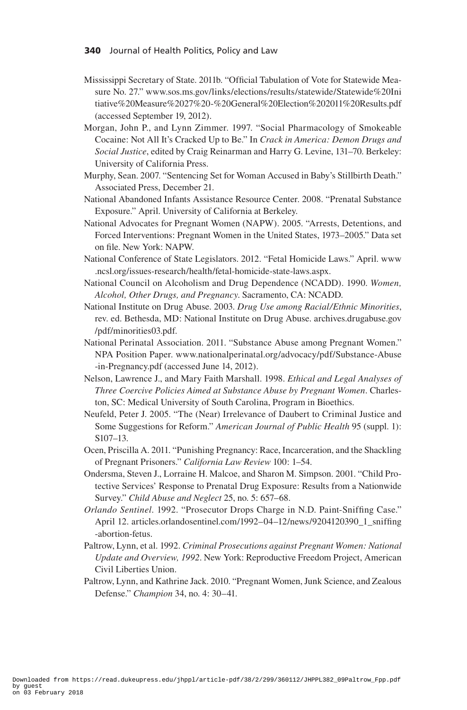- Mississippi Secretary of State. 2011b. "Official Tabulation of Vote for Statewide Measure No. 27." www.sos.ms.gov/links/elections/results/statewide/Statewide%20Ini tiative%20Measure%2027%20-%20General%20Election%202011%20Results.pdf (accessed September 19, 2012).
- Morgan, John P., and Lynn Zimmer. 1997. "Social Pharmacology of Smokeable Cocaine: Not All It's Cracked Up to Be." In *Crack in America: Demon Drugs and Social Justice*, edited by Craig Reinarman and Harry G. Levine, 131–70. Berkeley: University of California Press.
- Murphy, Sean. 2007. "Sentencing Set for Woman Accused in Baby's Stillbirth Death." Associated Press, December 21.
- National Abandoned Infants Assistance Resource Center. 2008. "Prenatal Substance Exposure." April. University of California at Berkeley.
- National Advocates for Pregnant Women (NAPW). 2005. "Arrests, Detentions, and Forced Interventions: Pregnant Women in the United States, 1973–2005." Data set on file. New York: NAPW.
- National Conference of State Legislators. 2012. "Fetal Homicide Laws." April. www .ncsl.org/issues-research/health/fetal-homicide-state-laws.aspx.
- National Council on Alcoholism and Drug Dependence (NCADD). 1990. *Women, Alcohol, Other Drugs, and Pregnancy*. Sacramento, CA: NCADD.
- National Institute on Drug Abuse. 2003. *Drug Use among Racial/Ethnic Minorities*, rev. ed. Bethesda, MD: National Institute on Drug Abuse. archives.drugabuse.gov /pdf/minorities03.pdf.
- National Perinatal Association. 2011. "Substance Abuse among Pregnant Women." NPA Position Paper. www.nationalperinatal.org/advocacy/pdf/Substance-Abuse -in-Pregnancy.pdf (accessed June 14, 2012).
- Nelson, Lawrence J., and Mary Faith Marshall. 1998. *Ethical and Legal Analyses of Three Coercive Policies Aimed at Substance Abuse by Pregnant Women*. Charleston, SC: Medical University of South Carolina, Program in Bioethics.
- Neufeld, Peter J. 2005. "The (Near) Irrelevance of Daubert to Criminal Justice and Some Suggestions for Reform." *American Journal of Public Health* 95 (suppl. 1): S107–13.
- Ocen, Priscilla A. 2011. "Punishing Pregnancy: Race, Incarceration, and the Shackling of Pregnant Prisoners." *California Law Review* 100: 1–54.
- Ondersma, Steven J., Lorraine H. Malcoe, and Sharon M. Simpson. 2001. "Child Protective Services' Response to Prenatal Drug Exposure: Results from a Nationwide Survey." *Child Abuse and Neglect* 25, no. 5: 657–68.
- *Orlando Sentinel*. 1992. "Prosecutor Drops Charge in N.D. Paint-Sniffing Case." April 12. articles.orlandosentinel.com/1992–04–12/news/9204120390\_1\_sniffing -abortion-fetus.
- Paltrow, Lynn, et al. 1992. *Criminal Prosecutions against Pregnant Women: National Update and Overview, 1992*. New York: Reproductive Freedom Project, American Civil Liberties Union.
- Paltrow, Lynn, and Kathrine Jack. 2010. "Pregnant Women, Junk Science, and Zealous Defense." *Champion* 34, no. 4: 30–41.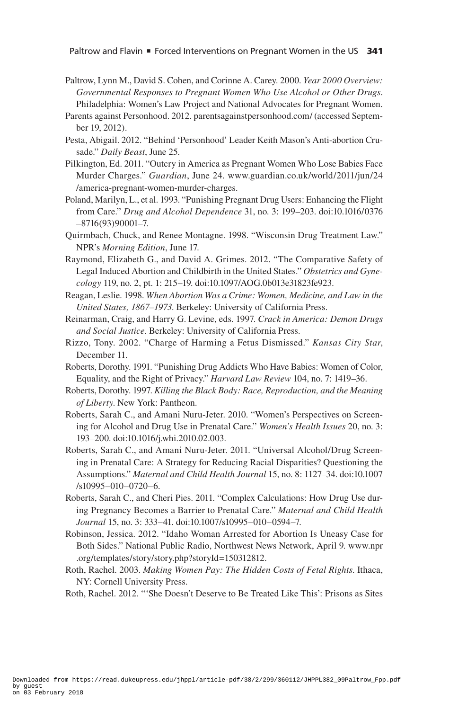- Paltrow, Lynn M., David S. Cohen, and Corinne A. Carey. 2000. *Year 2000 Overview: Governmental Responses to Pregnant Women Who Use Alcohol or Other Drugs*. Philadelphia: Women's Law Project and National Advocates for Pregnant Women.
- Parents against Personhood. 2012. parentsagainstpersonhood.com/ (accessed September 19, 2012).
- Pesta, Abigail. 2012. "Behind 'Personhood' Leader Keith Mason's Anti-abortion Crusade." *Daily Beast*, June 25.
- Pilkington, Ed. 2011. "Outcry in America as Pregnant Women Who Lose Babies Face Murder Charges." *Guardian*, June 24. www.guardian.co.uk/world/2011/jun/24 /america-pregnant-women-murder-charges.
- Poland, Marilyn, L., et al. 1993. "Punishing Pregnant Drug Users: Enhancing the Flight from Care." *Drug and Alcohol Dependence* 31, no. 3: 199–203. doi:10.1016/0376 –8716(93)90001–7.
- Quirmbach, Chuck, and Renee Montagne. 1998. "Wisconsin Drug Treatment Law." NPR's *Morning Edition*, June 17.
- Raymond, Elizabeth G., and David A. Grimes. 2012. "The Comparative Safety of Legal Induced Abortion and Childbirth in the United States." *Obstetrics and Gynecology* 119, no. 2, pt. 1: 215–19. doi:10.1097/AOG.0b013e31823fe923.
- Reagan, Leslie. 1998. *When Abortion Was a Crime: Women, Medicine, and Law in the United States, 1867–1973*. Berkeley: University of California Press.
- Reinarman, Craig, and Harry G. Levine, eds. 1997. *Crack in America: Demon Drugs and Social Justice*. Berkeley: University of California Press.
- Rizzo, Tony. 2002. "Charge of Harming a Fetus Dismissed." *Kansas City Star*, December 11.
- Roberts, Dorothy. 1991. "Punishing Drug Addicts Who Have Babies: Women of Color, Equality, and the Right of Privacy." *Harvard Law Review* 104, no. 7: 1419–36.
- Roberts, Dorothy. 1997. *Killing the Black Body: Race, Reproduction, and the Meaning of Liberty*. New York: Pantheon.
- Roberts, Sarah C., and Amani Nuru-Jeter. 2010. "Women's Perspectives on Screening for Alcohol and Drug Use in Prenatal Care." *Women's Health Issues* 20, no. 3: 193–200. doi:10.1016/j.whi.2010.02.003.
- Roberts, Sarah C., and Amani Nuru-Jeter. 2011. "Universal Alcohol/Drug Screening in Prenatal Care: A Strategy for Reducing Racial Disparities? Questioning the Assumptions." *Maternal and Child Health Journal* 15, no. 8: 1127–34. doi:10.1007 /s10995–010–0720–6.
- Roberts, Sarah C., and Cheri Pies. 2011. "Complex Calculations: How Drug Use during Pregnancy Becomes a Barrier to Prenatal Care." *Maternal and Child Health Journal* 15, no. 3: 333–41. doi:10.1007/s10995–010–0594–7.
- Robinson, Jessica. 2012. "Idaho Woman Arrested for Abortion Is Uneasy Case for Both Sides." National Public Radio, Northwest News Network, April 9. www.npr .org/templates/story/story.php?storyId=150312812.
- Roth, Rachel. 2003. *Making Women Pay: The Hidden Costs of Fetal Rights*. Ithaca, NY: Cornell University Press.

Roth, Rachel. 2012. "'She Doesn't Deserve to Be Treated Like This': Prisons as Sites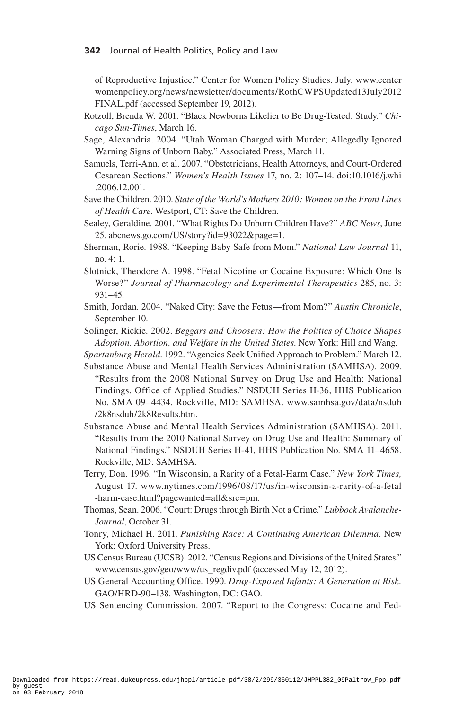of Reproductive Injustice." Center for Women Policy Studies. July. www.center womenpolicy.org/news/newsletter/documents/RothCWPSUpdated13July2012 FINAL.pdf (accessed September 19, 2012).

- Rotzoll, Brenda W. 2001. "Black Newborns Likelier to Be Drug-Tested: Study." *Chicago Sun-Times*, March 16.
- Sage, Alexandria. 2004. "Utah Woman Charged with Murder; Allegedly Ignored Warning Signs of Unborn Baby." Associated Press, March 11.
- Samuels, Terri-Ann, et al. 2007. "Obstetricians, Health Attorneys, and Court-Ordered Cesarean Sections." *Women's Health Issues* 17, no. 2: 107–14. doi:10.1016/j.whi .2006.12.001.
- Save the Children. 2010. *State of the World's Mothers 2010: Women on the Front Lines of Health Care*. Westport, CT: Save the Children.
- Sealey, Geraldine. 2001. "What Rights Do Unborn Children Have?" *ABC News*, June 25. abcnews.go.com/US/story?id=93022&page=1.
- Sherman, Rorie. 1988. "Keeping Baby Safe from Mom." *National Law Journal* 11, no. 4: 1.
- Slotnick, Theodore A. 1998. "Fetal Nicotine or Cocaine Exposure: Which One Is Worse?" *Journal of Pharmacology and Experimental Therapeutics* 285, no. 3: 931–45.
- Smith, Jordan. 2004. "Naked City: Save the Fetus—from Mom?" *Austin Chronicle*, September 10.
- Solinger, Rickie. 2002. *Beggars and Choosers: How the Politics of Choice Shapes Adoption, Abortion, and Welfare in the United States*. New York: Hill and Wang.
- *Spartanburg Herald*. 1992. "Agencies Seek Unified Approach to Problem." March 12.
- Substance Abuse and Mental Health Services Administration (SAMHSA). 2009. "Results from the 2008 National Survey on Drug Use and Health: National Findings. Office of Applied Studies." NSDUH Series H-36, HHS Publication No. SMA 09–4434. Rockville, MD: SAMHSA. www.samhsa.gov/data/nsduh /2k8nsduh/2k8Results.htm.
- Substance Abuse and Mental Health Services Administration (SAMHSA). 2011. "Results from the 2010 National Survey on Drug Use and Health: Summary of National Findings." NSDUH Series H-41, HHS Publication No. SMA 11–4658. Rockville, MD: SAMHSA.
- Terry, Don. 1996. "In Wisconsin, a Rarity of a Fetal-Harm Case." *New York Times,* August 17. www.nytimes.com/1996/08/17/us/in-wisconsin-a-rarity-of-a-fetal -harm-case.html?pagewanted=all&src=pm.
- Thomas, Sean. 2006. "Court: Drugs through Birth Not a Crime." *Lubbock Avalanche-Journal*, October 31.
- Tonry, Michael H. 2011. *Punishing Race: A Continuing American Dilemma*. New York: Oxford University Press.
- US Census Bureau (UCSB). 2012. "Census Regions and Divisions of the United States." www.census.gov/geo/www/us\_regdiv.pdf (accessed May 12, 2012).
- US General Accounting Office. 1990. *Drug-Exposed Infants: A Generation at Risk.*  GAO/HRD-90–138. Washington, DC: GAO.
- US Sentencing Commission. 2007. "Report to the Congress: Cocaine and Fed-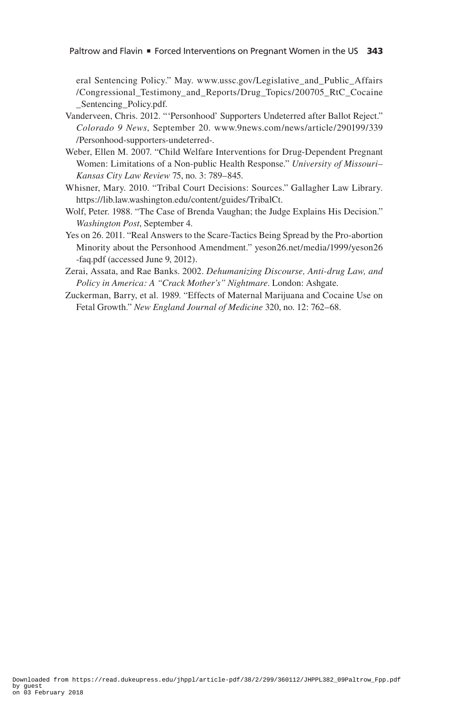eral Sentencing Policy." May. www.ussc.gov/Legislative\_and\_Public\_Affairs /Congressional\_Testimony\_and\_Reports/Drug\_Topics/200705\_RtC\_Cocaine \_Sentencing\_Policy.pdf.

- Vanderveen, Chris. 2012. "'Personhood' Supporters Undeterred after Ballot Reject." *Colorado 9 News*, September 20. www.9news.com/news/article/290199/339 /Personhood-supporters-undeterred-.
- Weber, Ellen M. 2007. "Child Welfare Interventions for Drug-Dependent Pregnant Women: Limitations of a Non-public Health Response." *University of Missouri– Kansas City Law Review* 75, no. 3: 789–845.
- Whisner, Mary. 2010. "Tribal Court Decisions: Sources." Gallagher Law Library. https://lib.law.washington.edu/content/guides/TribalCt.
- Wolf, Peter. 1988. "The Case of Brenda Vaughan; the Judge Explains His Decision." *Washington Post*, September 4.
- Yes on 26. 2011. "Real Answers to the Scare-Tactics Being Spread by the Pro-abortion Minority about the Personhood Amendment." yeson26.net/media/1999/yeson26 -faq.pdf (accessed June 9, 2012).
- Zerai, Assata, and Rae Banks. 2002. *Dehumanizing Discourse, Anti-drug Law, and Policy in America: A "Crack Mother's" Nightmare*. London: Ashgate.
- Zuckerman, Barry, et al. 1989. "Effects of Maternal Marijuana and Cocaine Use on Fetal Growth." *New England Journal of Medicine* 320, no. 12: 762–68.